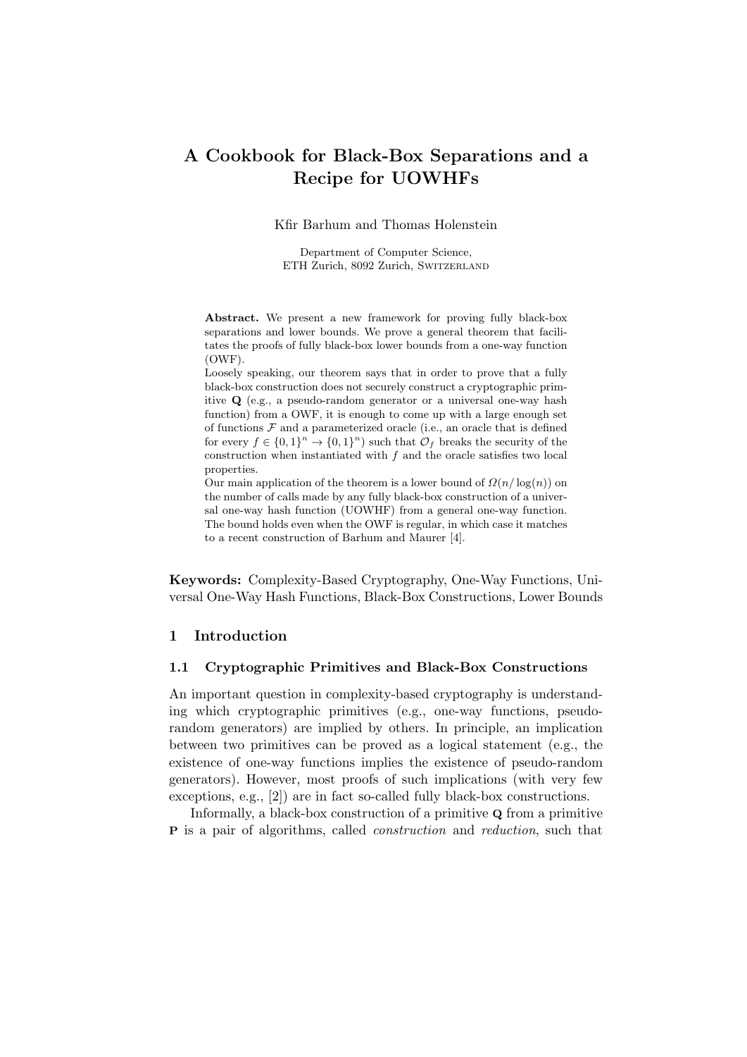# A Cookbook for Black-Box Separations and a Recipe for UOWHFs

Kfir Barhum and Thomas Holenstein

Department of Computer Science, ETH Zurich, 8092 Zurich, Switzerland

Abstract. We present a new framework for proving fully black-box separations and lower bounds. We prove a general theorem that facilitates the proofs of fully black-box lower bounds from a one-way function (OWF).

Loosely speaking, our theorem says that in order to prove that a fully black-box construction does not securely construct a cryptographic primitive Q (e.g., a pseudo-random generator or a universal one-way hash function) from a OWF, it is enough to come up with a large enough set of functions  $\mathcal F$  and a parameterized oracle (i.e., an oracle that is defined for every  $f \in \{0,1\}^n \to \{0,1\}^n$  such that  $\mathcal{O}_f$  breaks the security of the construction when instantiated with  $f$  and the oracle satisfies two local properties.

Our main application of the theorem is a lower bound of  $\Omega(n/\log(n))$  on the number of calls made by any fully black-box construction of a universal one-way hash function (UOWHF) from a general one-way function. The bound holds even when the OWF is regular, in which case it matches to a recent construction of Barhum and Maurer [4].

Keywords: Complexity-Based Cryptography, One-Way Functions, Universal One-Way Hash Functions, Black-Box Constructions, Lower Bounds

# 1 Introduction

### 1.1 Cryptographic Primitives and Black-Box Constructions

An important question in complexity-based cryptography is understanding which cryptographic primitives (e.g., one-way functions, pseudorandom generators) are implied by others. In principle, an implication between two primitives can be proved as a logical statement (e.g., the existence of one-way functions implies the existence of pseudo-random generators). However, most proofs of such implications (with very few exceptions, e.g., [2]) are in fact so-called fully black-box constructions.

Informally, a black-box construction of a primitive Q from a primitive P is a pair of algorithms, called construction and reduction, such that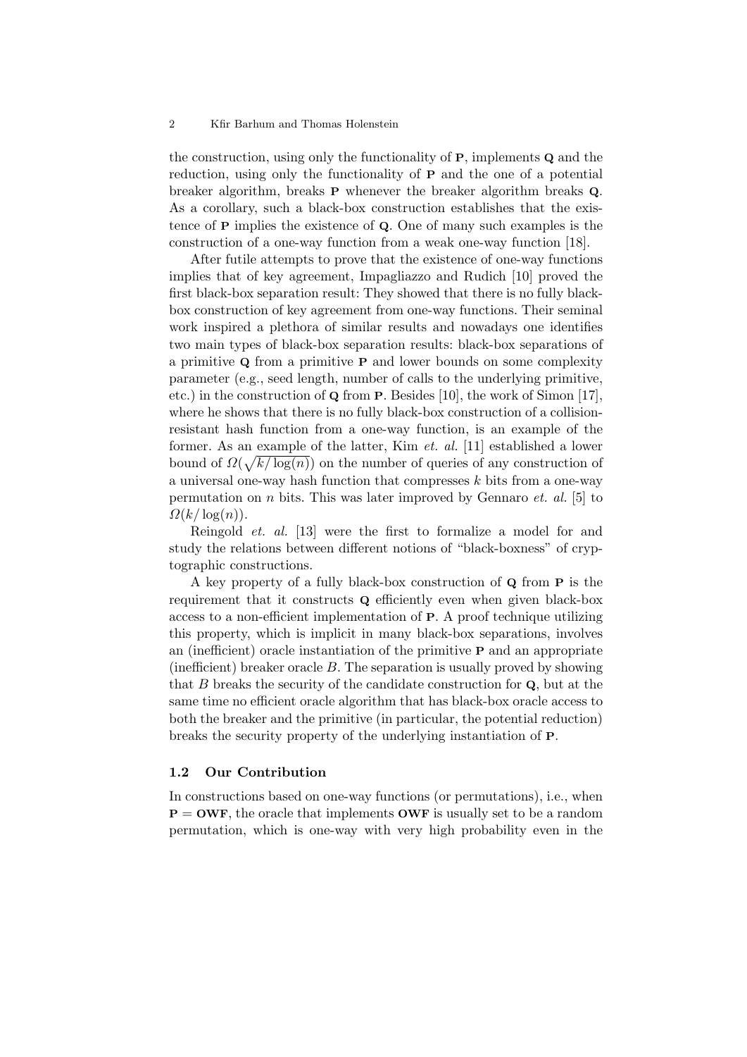the construction, using only the functionality of P, implements Q and the reduction, using only the functionality of P and the one of a potential breaker algorithm, breaks P whenever the breaker algorithm breaks Q. As a corollary, such a black-box construction establishes that the existence of P implies the existence of Q. One of many such examples is the construction of a one-way function from a weak one-way function [18].

After futile attempts to prove that the existence of one-way functions implies that of key agreement, Impagliazzo and Rudich [10] proved the first black-box separation result: They showed that there is no fully blackbox construction of key agreement from one-way functions. Their seminal work inspired a plethora of similar results and nowadays one identifies two main types of black-box separation results: black-box separations of a primitive Q from a primitive P and lower bounds on some complexity parameter (e.g., seed length, number of calls to the underlying primitive, etc.) in the construction of Q from P. Besides [10], the work of Simon [17], where he shows that there is no fully black-box construction of a collisionresistant hash function from a one-way function, is an example of the former. As an example of the latter, Kim et. al. [11] established a lower bound of  $\Omega(\sqrt{k/\log(n)})$  on the number of queries of any construction of a universal one-way hash function that compresses  $k$  bits from a one-way permutation on *n* bits. This was later improved by Gennaro *et. al.* [5] to  $\Omega(k/\log(n)).$ 

Reingold et. al. [13] were the first to formalize a model for and study the relations between different notions of "black-boxness" of cryptographic constructions.

A key property of a fully black-box construction of Q from P is the requirement that it constructs Q efficiently even when given black-box access to a non-efficient implementation of P. A proof technique utilizing this property, which is implicit in many black-box separations, involves an (inefficient) oracle instantiation of the primitive P and an appropriate (inefficient) breaker oracle  $B$ . The separation is usually proved by showing that  $B$  breaks the security of the candidate construction for  $Q$ , but at the same time no efficient oracle algorithm that has black-box oracle access to both the breaker and the primitive (in particular, the potential reduction) breaks the security property of the underlying instantiation of P.

#### 1.2 Our Contribution

In constructions based on one-way functions (or permutations), i.e., when  $P =$  OWF, the oracle that implements OWF is usually set to be a random permutation, which is one-way with very high probability even in the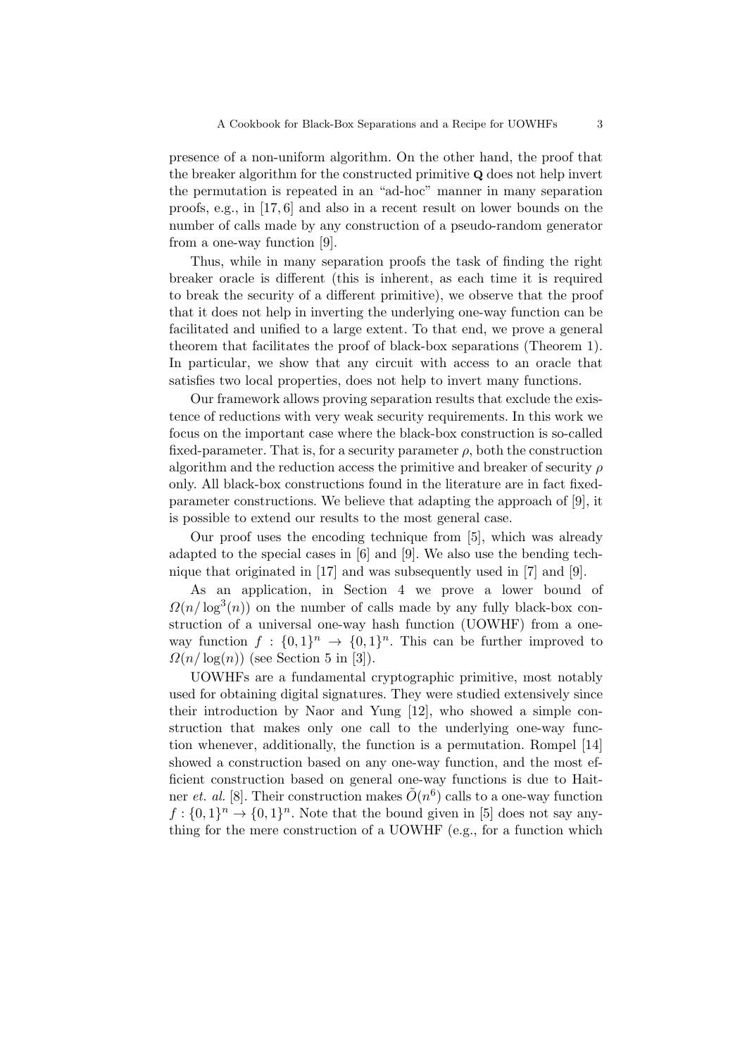presence of a non-uniform algorithm. On the other hand, the proof that the breaker algorithm for the constructed primitive Q does not help invert the permutation is repeated in an "ad-hoc" manner in many separation proofs, e.g., in [17, 6] and also in a recent result on lower bounds on the number of calls made by any construction of a pseudo-random generator from a one-way function [9].

Thus, while in many separation proofs the task of finding the right breaker oracle is different (this is inherent, as each time it is required to break the security of a different primitive), we observe that the proof that it does not help in inverting the underlying one-way function can be facilitated and unified to a large extent. To that end, we prove a general theorem that facilitates the proof of black-box separations (Theorem 1). In particular, we show that any circuit with access to an oracle that satisfies two local properties, does not help to invert many functions.

Our framework allows proving separation results that exclude the existence of reductions with very weak security requirements. In this work we focus on the important case where the black-box construction is so-called fixed-parameter. That is, for a security parameter  $\rho$ , both the construction algorithm and the reduction access the primitive and breaker of security  $\rho$ only. All black-box constructions found in the literature are in fact fixedparameter constructions. We believe that adapting the approach of [9], it is possible to extend our results to the most general case.

Our proof uses the encoding technique from [5], which was already adapted to the special cases in [6] and [9]. We also use the bending technique that originated in [17] and was subsequently used in [7] and [9].

As an application, in Section 4 we prove a lower bound of  $\Omega(n/\log^3(n))$  on the number of calls made by any fully black-box construction of a universal one-way hash function (UOWHF) from a oneway function  $f: \{0,1\}^n \to \{0,1\}^n$ . This can be further improved to  $\Omega(n/\log(n))$  (see Section 5 in [3]).

UOWHFs are a fundamental cryptographic primitive, most notably used for obtaining digital signatures. They were studied extensively since their introduction by Naor and Yung [12], who showed a simple construction that makes only one call to the underlying one-way function whenever, additionally, the function is a permutation. Rompel [14] showed a construction based on any one-way function, and the most efficient construction based on general one-way functions is due to Haitner *et. al.* [8]. Their construction makes  $\tilde{O}(n^6)$  calls to a one-way function  $f: \{0,1\}^n \to \{0,1\}^n$ . Note that the bound given in [5] does not say anything for the mere construction of a UOWHF (e.g., for a function which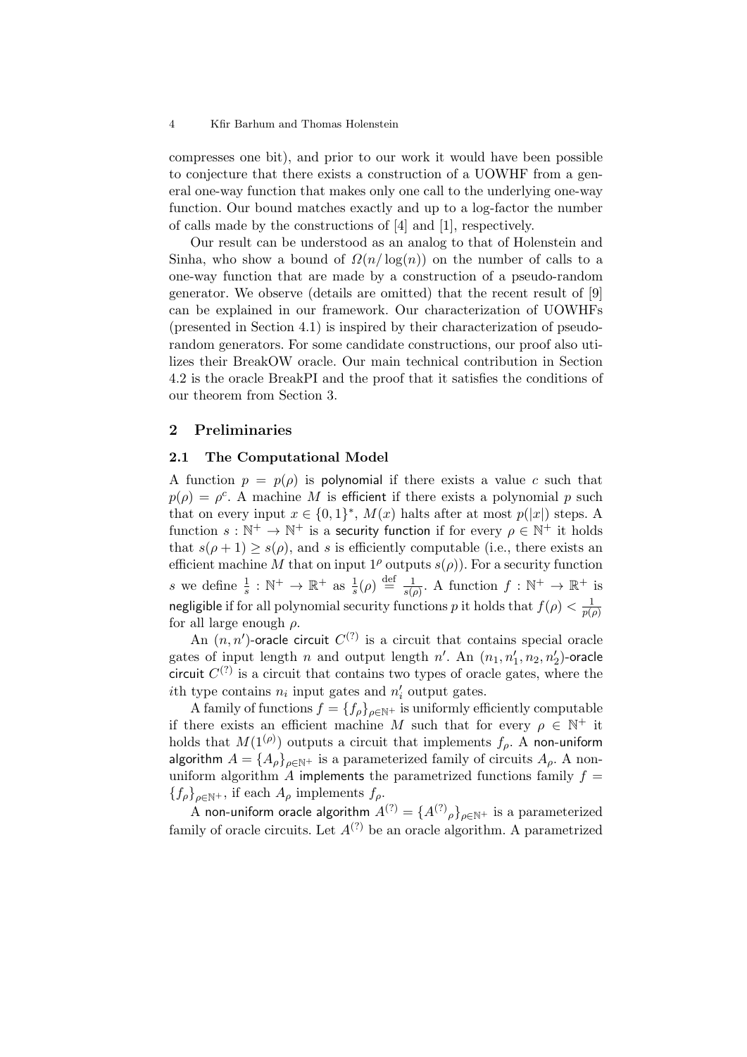compresses one bit), and prior to our work it would have been possible to conjecture that there exists a construction of a UOWHF from a general one-way function that makes only one call to the underlying one-way function. Our bound matches exactly and up to a log-factor the number of calls made by the constructions of [4] and [1], respectively.

Our result can be understood as an analog to that of Holenstein and Sinha, who show a bound of  $\Omega(n/\log(n))$  on the number of calls to a one-way function that are made by a construction of a pseudo-random generator. We observe (details are omitted) that the recent result of [9] can be explained in our framework. Our characterization of UOWHFs (presented in Section 4.1) is inspired by their characterization of pseudorandom generators. For some candidate constructions, our proof also utilizes their BreakOW oracle. Our main technical contribution in Section 4.2 is the oracle BreakPI and the proof that it satisfies the conditions of our theorem from Section 3.

# 2 Preliminaries

# 2.1 The Computational Model

A function  $p = p(\rho)$  is polynomial if there exists a value c such that  $p(\rho) = \rho^c$ . A machine M is efficient if there exists a polynomial p such that on every input  $x \in \{0,1\}^*$ ,  $M(x)$  halts after at most  $p(|x|)$  steps. A function  $s : \mathbb{N}^+ \to \mathbb{N}^+$  is a security function if for every  $\rho \in \mathbb{N}^+$  it holds that  $s(\rho+1) \geq s(\rho)$ , and s is efficiently computable (i.e., there exists an efficient machine M that on input  $1^{\rho}$  outputs  $s(\rho)$ ). For a security function s we define  $\frac{1}{s}: \mathbb{N}^+ \to \mathbb{R}^+$  as  $\frac{1}{s}(\rho) \stackrel{\text{def}}{=} \frac{1}{s(\rho)}$  $\frac{1}{s(\rho)}$ . A function  $f : \mathbb{N}^+ \to \mathbb{R}^+$  is negligible if for all polynomial security functions p it holds that  $f(\rho) < \frac{1}{n}$  $p(\rho)$ for all large enough  $\rho$ .

An  $(n, n')$ -oracle circuit  $C^{(?)}$  is a circuit that contains special oracle gates of input length n and output length n'. An  $(n_1, n'_1, n_2, n'_2)$ -oracle circuit  $C^{(?)}$  is a circuit that contains two types of oracle gates, where the ith type contains  $n_i$  input gates and  $n'_i$  output gates.

A family of functions  $f = \{f_\rho\}_{\rho \in \mathbb{N}^+}$  is uniformly efficiently computable if there exists an efficient machine M such that for every  $\rho \in \mathbb{N}^+$  it holds that  $M(1^{(\rho)})$  outputs a circuit that implements  $f_\rho$ . A non-uniform algorithm  $A = \{A_{\rho}\}_{{\rho \in \mathbb{N}^+}}$  is a parameterized family of circuits  $A_{\rho}$ . A nonuniform algorithm  $\ddot{A}$  implements the parametrized functions family  $f =$  ${f_{\rho}}_{\rho\in\mathbb{N}^+}$ , if each  $A_{\rho}$  implements  $f_{\rho}$ .

 $\text{A}$  non-uniform oracle algorithm  $A^{(?)}=\{A^{(?)}_\rho\}_{\rho\in\mathbb{N}^+}$  is a parameterized family of oracle circuits. Let  $A^{(?)}$  be an oracle algorithm. A parametrized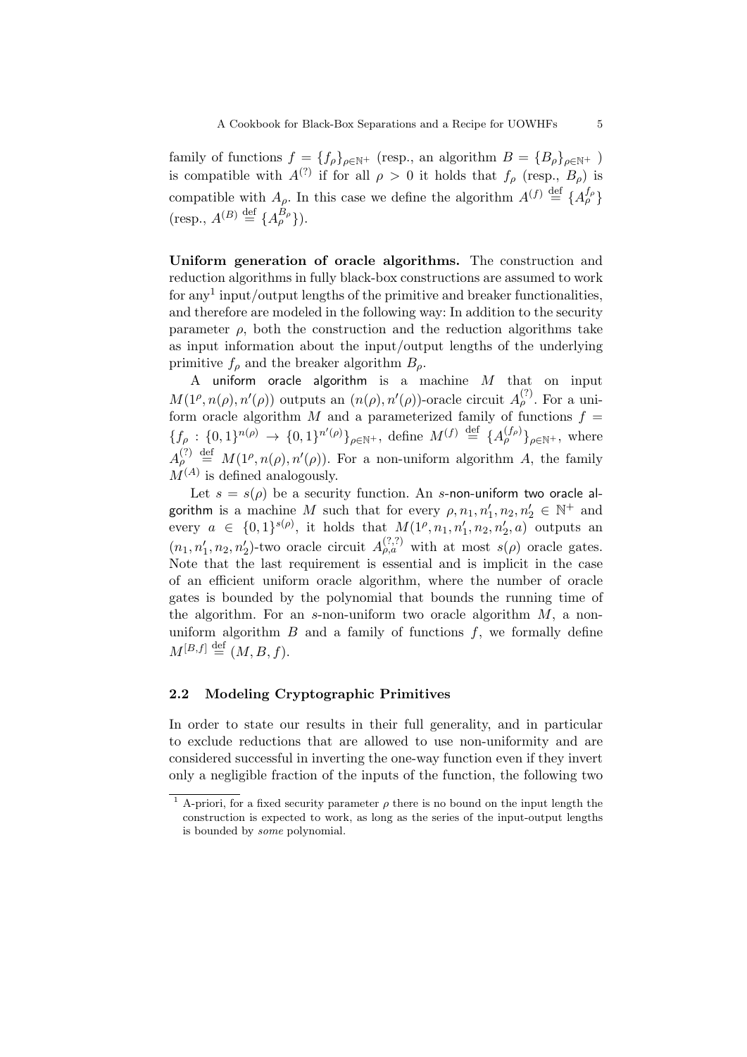family of functions  $f = \{f_\rho\}_{\rho \in \mathbb{N}^+}$  (resp., an algorithm  $B = \{B_\rho\}_{\rho \in \mathbb{N}^+}$ ) is compatible with  $A^{(?)}$  if for all  $\rho > 0$  it holds that  $f_{\rho}$  (resp.,  $B_{\rho}$ ) is compatible with  $A_{\rho}$ . In this case we define the algorithm  $A^{(f)} \stackrel{\text{def}}{=} \{A_{\rho}^{f_{\rho}}\}$  $(\text{resp., } A^{(B)} \stackrel{\text{def}}{=} \{A^{B_{\rho}}_{\rho}\}).$ 

Uniform generation of oracle algorithms. The construction and reduction algorithms in fully black-box constructions are assumed to work for any<sup>1</sup> input/output lengths of the primitive and breaker functionalities, and therefore are modeled in the following way: In addition to the security parameter  $\rho$ , both the construction and the reduction algorithms take as input information about the input/output lengths of the underlying primitive  $f_{\rho}$  and the breaker algorithm  $B_{\rho}$ .

A uniform oracle algorithm is a machine  $M$  that on input  $M(1^{\rho}, n(\rho), n'(\rho))$  outputs an  $(n(\rho), n'(\rho))$ -oracle circuit  $A_{\rho}^{(?)}$ . For a uniform oracle algorithm M and a parameterized family of functions  $f =$  ${f_{\rho} : \{0,1\}^{n(\rho)} \rightarrow {0,1\}^{n'(\rho)}\}_{{\rho \in \mathbb{N}^+}}$ , define  $M^{(f)} \stackrel{\text{def}}{=} {A_{\rho}^{(f_{\rho})}\}_{\rho \in \mathbb{N}^+}}$ , where  $A_{\rho}^{(?)}\stackrel{\text{def}}{=} M(1^{\rho}, n(\rho), n'(\rho)).$  For a non-uniform algorithm A, the family  $M^{(A)}$  is defined analogously.

Let  $s = s(\rho)$  be a security function. An s-non-uniform two oracle algorithm is a machine M such that for every  $\rho, n_1, n'_1, n_2, n'_2 \in \mathbb{N}^+$  and every  $a \in \{0,1\}^{s(\rho)}$ , it holds that  $M(1^{\rho}, n_1, n'_1, n_2, n'_2, a)$  outputs an  $(n_1, n'_1, n_2, n'_2)$ -two oracle circuit  $A_{\rho,a}^{(?,?)}$  with at most  $s(\rho)$  oracle gates. Note that the last requirement is essential and is implicit in the case of an efficient uniform oracle algorithm, where the number of oracle gates is bounded by the polynomial that bounds the running time of the algorithm. For an s-non-uniform two oracle algorithm  $M$ , a nonuniform algorithm  $B$  and a family of functions  $f$ , we formally define  $M^{[B,f]} \stackrel{\text{def}}{=} (M, B, f).$ 

# 2.2 Modeling Cryptographic Primitives

In order to state our results in their full generality, and in particular to exclude reductions that are allowed to use non-uniformity and are considered successful in inverting the one-way function even if they invert only a negligible fraction of the inputs of the function, the following two

<sup>&</sup>lt;sup>1</sup> A-priori, for a fixed security parameter  $\rho$  there is no bound on the input length the construction is expected to work, as long as the series of the input-output lengths is bounded by some polynomial.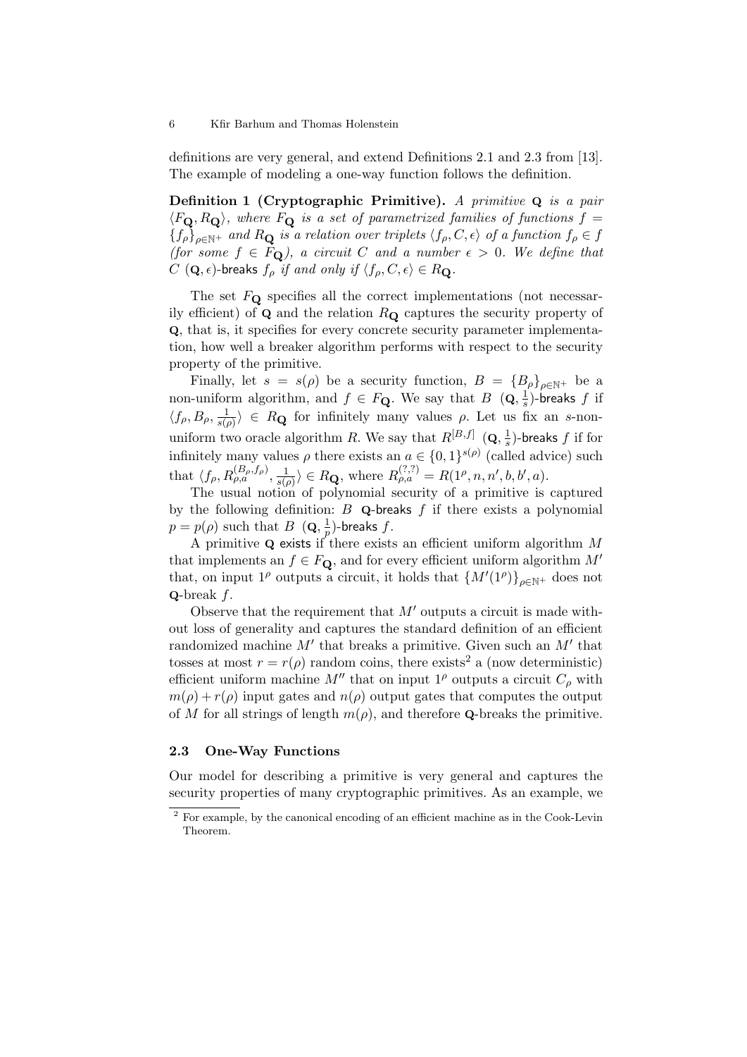definitions are very general, and extend Definitions 2.1 and 2.3 from [13]. The example of modeling a one-way function follows the definition.

Definition 1 (Cryptographic Primitive). A primitive  $Q$  is a pair  $\langle F_{\mathbf{Q}}, R_{\mathbf{Q}} \rangle$ , where  $F_{\mathbf{Q}}$  is a set of parametrized families of functions  $f =$  ${f_{\rho}}_{\rho \in \mathbb{N}^+}$  and  $R_{\mathbf{Q}}$  is a relation over triplets  $\langle f_{\rho}, C, \epsilon \rangle$  of a function  $f_{\rho} \in f$ (for some  $f \in F_Q$ ), a circuit C and a number  $\epsilon > 0$ . We define that  $C$  (**Q**,  $\epsilon$ )-breaks  $f_{\rho}$  if and only if  $\langle f_{\rho}, C, \epsilon \rangle \in R_{\mathbf{Q}}$ .

The set  $F_{\mathbf{\Omega}}$  specifies all the correct implementations (not necessarily efficient) of  $\bf{Q}$  and the relation  $R_{\bf{Q}}$  captures the security property of Q, that is, it specifies for every concrete security parameter implementation, how well a breaker algorithm performs with respect to the security property of the primitive.

Finally, let  $s = s(\rho)$  be a security function,  $B = {B_\rho}_{\rho \in \mathbb{N}^+}$  be a non-uniform algorithm, and  $f \in F_{\mathbf{Q}}$ . We say that  $B(\mathbf{Q}, \frac{1}{s})$  $\frac{1}{s}$ )-breaks  $f$  if  $\langle f_\rho, B_\rho, \frac{1}{s(r)}\rangle$  $\frac{1}{s(\rho)}\rangle \in R_{\mathbf{Q}}$  for infinitely many values  $\rho$ . Let us fix an s-nonuniform two oracle algorithm R. We say that  $R^{[B,f]}$  (**Q**,  $\frac{1}{s}$ )  $\frac{1}{s}$ )-breaks  $f$  if for infinitely many values  $\rho$  there exists an  $a \in \{0,1\}^{s(\rho)}$  (called advice) such that  $\langle f_{\rho}, R_{\rho,a}^{(B_{\rho},f_{\rho})}, \frac{1}{s(a_{\rho,a})} \rangle$  $\frac{1}{s(\rho)}\rangle \in R_{\mathbf{Q}}, \text{ where } R_{\rho,a}^{(?,?)} = R(1^{\rho}, n, n', b, b', a).$ 

The usual notion of polynomial security of a primitive is captured by the following definition:  $B$  Q-breaks  $f$  if there exists a polynomial  $p = p(\rho)$  such that  $B(\mathbf{Q}, \frac{1}{n})$  $\frac{1}{p}$ )-breaks  $f.$ 

A primitive  $\bf{Q}$  exists if there exists an efficient uniform algorithm M that implements an  $f \in F_{\mathbf{\Omega}}$ , and for every efficient uniform algorithm  $M'$ that, on input 1<sup> $\rho$ </sup> outputs a circuit, it holds that  $\{M'(1^{\rho})\}_{\rho \in \mathbb{N}^+}$  does not  $Q$ -break  $f$ .

Observe that the requirement that  $M'$  outputs a circuit is made without loss of generality and captures the standard definition of an efficient randomized machine  $M'$  that breaks a primitive. Given such an  $M'$  that tosses at most  $r = r(\rho)$  random coins, there exists<sup>2</sup> a (now deterministic) efficient uniform machine  $M''$  that on input  $1^{\rho}$  outputs a circuit  $C_{\rho}$  with  $m(\rho) + r(\rho)$  input gates and  $n(\rho)$  output gates that computes the output of M for all strings of length  $m(\rho)$ , and therefore **Q**-breaks the primitive.

### 2.3 One-Way Functions

Our model for describing a primitive is very general and captures the security properties of many cryptographic primitives. As an example, we

<sup>2</sup> For example, by the canonical encoding of an efficient machine as in the Cook-Levin Theorem.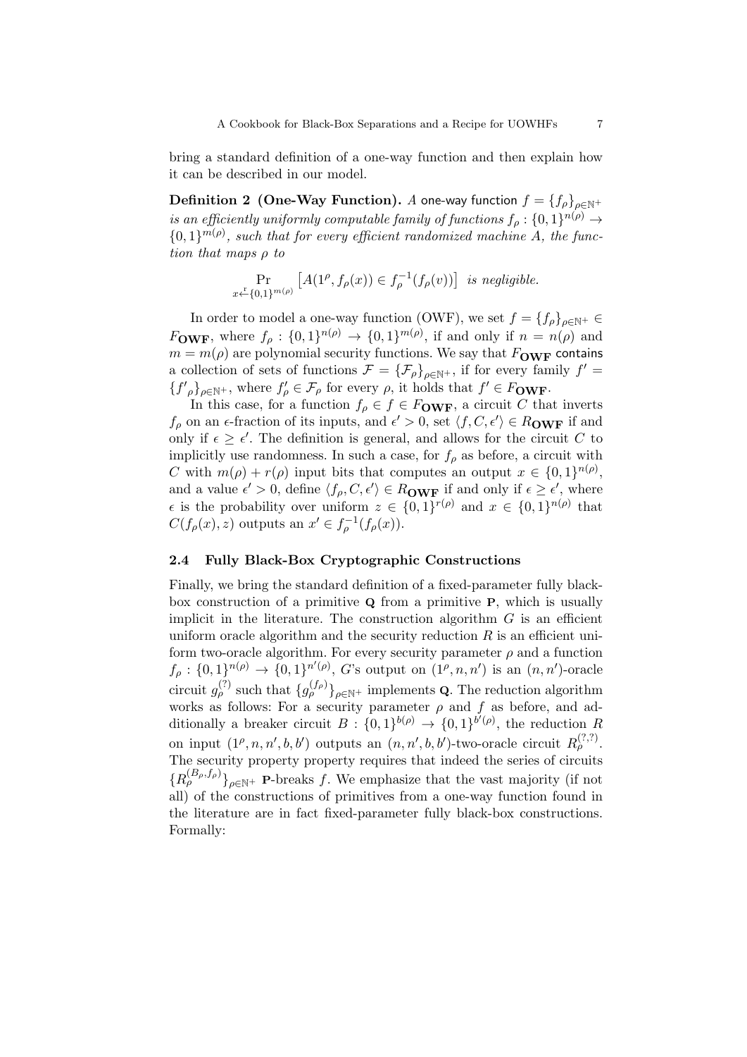bring a standard definition of a one-way function and then explain how it can be described in our model.

**Definition 2 (One-Way Function).** A one-way function  $f = \{f_\rho\}_{\rho \in \mathbb{N}^+}$ is an efficiently uniformly computable family of functions  $f_{\rho}: \{0,1\}^{n(\rho)} \rightarrow$  ${0,1}^{m(\rho)}$ , such that for every efficient randomized machine A, the function that maps ρ to

$$
\Pr_{x \leftarrow \{0,1\}^{m(\rho)}} \left[ A(1^{\rho}, f_{\rho}(x)) \in f_{\rho}^{-1}(f_{\rho}(v)) \right] \text{ is negligible.}
$$

In order to model a one-way function (OWF), we set  $f = \{f_\rho\}_{\rho \in \mathbb{N}^+} \in$  $F_{\text{OWF}}$ , where  $f_{\rho}: \{0,1\}^{n(\rho)} \to \{0,1\}^{m(\rho)}$ , if and only if  $n = n(\rho)$  and  $m = m(\rho)$  are polynomial security functions. We say that  $F_{\text{OWF}}$  contains a collection of sets of functions  $\mathcal{F} = {\{\mathcal{F}_{\rho}\}}_{\rho \in \mathbb{N}^{+}}$ , if for every family  $f' =$  ${f'}_{\rho}$ <sub> $\rho \in \mathbb{N}^+$ </sub>, where  $f'_{\rho} \in \mathcal{F}_{\rho}$  for every  $\rho$ , it holds that  $f' \in F_{\text{OWF}}$ .

In this case, for a function  $f_{\rho} \in f \in F_{\text{OWF}}$ , a circuit C that inverts  $f_{\rho}$  on an  $\epsilon$ -fraction of its inputs, and  $\epsilon' > 0$ , set  $\langle f, C, \epsilon' \rangle \in R_{\text{OWF}}$  if and only if  $\epsilon \geq \epsilon'$ . The definition is general, and allows for the circuit C to implicitly use randomness. In such a case, for  $f_{\rho}$  as before, a circuit with C with  $m(\rho) + r(\rho)$  input bits that computes an output  $x \in \{0,1\}^{n(\rho)}$ , and a value  $\epsilon' > 0$ , define  $\langle f_{\rho}, C, \epsilon' \rangle \in R_{\text{OWF}}$  if and only if  $\epsilon \geq \epsilon'$ , where  $\epsilon$  is the probability over uniform  $z \in \{0,1\}^{r(\rho)}$  and  $x \in \{0,1\}^{n(\rho)}$  that  $C(f_{\rho}(x), z)$  outputs an  $x' \in f_{\rho}^{-1}(f_{\rho}(x)).$ 

# 2.4 Fully Black-Box Cryptographic Constructions

Finally, we bring the standard definition of a fixed-parameter fully blackbox construction of a primitive  $Q$  from a primitive  $P$ , which is usually implicit in the literature. The construction algorithm  $G$  is an efficient uniform oracle algorithm and the security reduction  $R$  is an efficient uniform two-oracle algorithm. For every security parameter  $\rho$  and a function  $f_{\rho}: \{0,1\}^{n(\rho)} \to \{0,1\}^{n'(\rho)}, G$ 's output on  $(1^{\rho}, n, n')$  is an  $(n, n')$ -oracle circuit  $g_{\rho}^{(?)}$  such that  $\{g_{\rho}^{(f_{\rho})}\}_{\rho \in \mathbb{N}^+}$  implements **Q**. The reduction algorithm works as follows: For a security parameter  $\rho$  and f as before, and additionally a breaker circuit  $B: \{0,1\}^{b(\rho)} \to \{0,1\}^{b'(\rho)}$ , the reduction R on input  $(1^{\rho}, n, n', b, b')$  outputs an  $(n, n', b, b')$ -two-oracle circuit  $R_{\rho}^{(?,?)}$ . The security property property requires that indeed the series of circuits  ${R_{\rho}^{(B_{\rho},f_{\rho})}\}_{\rho\in\mathbb{N}^{+}}$  P-breaks f. We emphasize that the vast majority (if not all) of the constructions of primitives from a one-way function found in the literature are in fact fixed-parameter fully black-box constructions. Formally: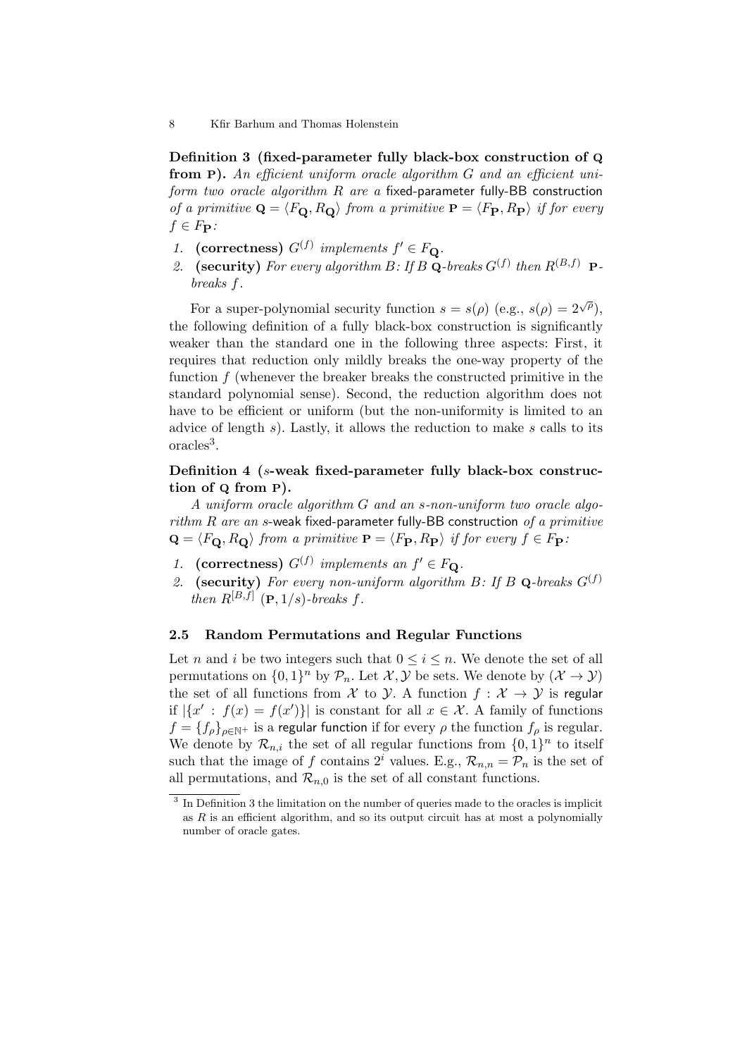Definition 3 (fixed-parameter fully black-box construction of Q from P). An efficient uniform oracle algorithm G and an efficient uniform two oracle algorithm  $R$  are a fixed-parameter fully-BB construction of a primitive  $\mathbf{Q} = \langle F_{\mathbf{Q}}, R_{\mathbf{Q}} \rangle$  from a primitive  $\mathbf{P} = \langle F_{\mathbf{P}}, R_{\mathbf{P}} \rangle$  if for every  $f \in F_{\mathbf{P}}$ :

- 1. (correctness)  $G^{(f)}$  implements  $f' \in F_{\mathbf{Q}}$ .
- 2. (security) For every algorithm B: If B Q-breaks  $G^{(f)}$  then  $R^{(B,f)}$  Pbreaks f.

For a super-polynomial security function  $s = s(\rho)$  (e.g.,  $s(\rho) = 2^{\sqrt{\rho}}$ ), the following definition of a fully black-box construction is significantly weaker than the standard one in the following three aspects: First, it requires that reduction only mildly breaks the one-way property of the function  $f$  (whenever the breaker breaks the constructed primitive in the standard polynomial sense). Second, the reduction algorithm does not have to be efficient or uniform (but the non-uniformity is limited to an advice of length  $s$ ). Lastly, it allows the reduction to make  $s$  calls to its oracles<sup>3</sup>.

# Definition 4 (s-weak fixed-parameter fully black-box construction of Q from P).

A uniform oracle algorithm G and an s-non-uniform two oracle algo $rithm R$  are an s-weak fixed-parameter fully-BB construction of a primitive  $\mathbf{Q} = \langle F_{\mathbf{Q}}, R_{\mathbf{Q}} \rangle$  from a primitive  $\mathbf{P} = \langle F_{\mathbf{P}}, R_{\mathbf{P}} \rangle$  if for every  $f \in F_{\mathbf{P}}$ :

- 1. (correctness)  $G^{(f)}$  implements an  $f' \in F_{\mathbf{Q}}$ .
- 2. (security) For every non-uniform algorithm B: If B Q-breaks  $G^{(f)}$ then  $R^{[B,f]}$  (**P**,  $1/s$ )-breaks f.

#### 2.5 Random Permutations and Regular Functions

Let *n* and *i* be two integers such that  $0 \le i \le n$ . We denote the set of all permutations on  $\{0,1\}^n$  by  $\mathcal{P}_n$ . Let  $\mathcal{X}, \mathcal{Y}$  be sets. We denote by  $(\mathcal{X} \to \mathcal{Y})$ the set of all functions from X to Y. A function  $f: X \to Y$  is regular if  $|\{x' : f(x) = f(x')\}|$  is constant for all  $x \in \mathcal{X}$ . A family of functions  $f = \{f_\rho\}_{\rho \in \mathbb{N}^+}$  is a regular function if for every  $\rho$  the function  $f_\rho$  is regular. We denote by  $\mathcal{R}_{n,i}$  the set of all regular functions from  $\{0,1\}^n$  to itself such that the image of f contains  $2^i$  values. E.g.,  $\mathcal{R}_{n,n} = \mathcal{P}_n$  is the set of all permutations, and  $\mathcal{R}_{n,0}$  is the set of all constant functions.

<sup>8</sup> Kfir Barhum and Thomas Holenstein

<sup>&</sup>lt;sup>3</sup> In Definition 3 the limitation on the number of queries made to the oracles is implicit as  $R$  is an efficient algorithm, and so its output circuit has at most a polynomially number of oracle gates.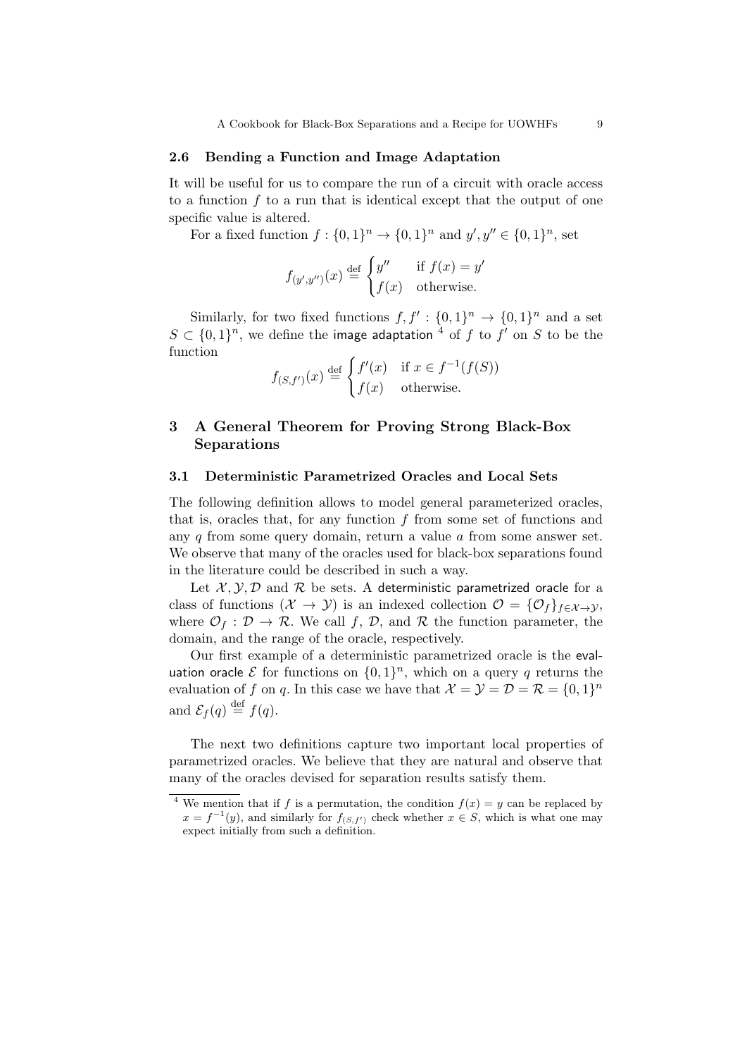#### 2.6 Bending a Function and Image Adaptation

It will be useful for us to compare the run of a circuit with oracle access to a function  $f$  to a run that is identical except that the output of one specific value is altered.

For a fixed function  $f: \{0,1\}^n \to \{0,1\}^n$  and  $y', y'' \in \{0,1\}^n$ , set

$$
f_{(y',y'')}(x) \stackrel{\text{def}}{=} \begin{cases} y'' & \text{if } f(x) = y' \\ f(x) & \text{otherwise.} \end{cases}
$$

Similarly, for two fixed functions  $f, f': \{0, 1\}^n \to \{0, 1\}^n$  and a set  $S \subset \{0,1\}^n$ , we define the image adaptation <sup>4</sup> of f to f' on S to be the function

$$
f_{(S,f')}(x) \stackrel{\text{def}}{=} \begin{cases} f'(x) & \text{if } x \in f^{-1}(f(S)) \\ f(x) & \text{otherwise.} \end{cases}
$$

# 3 A General Theorem for Proving Strong Black-Box Separations

# 3.1 Deterministic Parametrized Oracles and Local Sets

The following definition allows to model general parameterized oracles, that is, oracles that, for any function  $f$  from some set of functions and any  $q$  from some query domain, return a value  $q$  from some answer set. We observe that many of the oracles used for black-box separations found in the literature could be described in such a way.

Let  $\mathcal{X}, \mathcal{Y}, \mathcal{D}$  and  $\mathcal{R}$  be sets. A deterministic parametrized oracle for a class of functions  $(\mathcal{X} \to \mathcal{Y})$  is an indexed collection  $\mathcal{O} = {\mathcal{O}_f}_{f \in \mathcal{X} \to \mathcal{Y}}$ , where  $\mathcal{O}_f : \mathcal{D} \to \mathcal{R}$ . We call f,  $\mathcal{D}$ , and  $\mathcal{R}$  the function parameter, the domain, and the range of the oracle, respectively.

Our first example of a deterministic parametrized oracle is the evaluation oracle  $\mathcal E$  for functions on  $\{0,1\}^n$ , which on a query  $q$  returns the evaluation of f on q. In this case we have that  $\mathcal{X} = \mathcal{Y} = \mathcal{D} = \mathcal{R} = \{0, 1\}^n$ and  $\mathcal{E}_f(q) \stackrel{\text{def}}{=} f(q)$ .

The next two definitions capture two important local properties of parametrized oracles. We believe that they are natural and observe that many of the oracles devised for separation results satisfy them.

<sup>&</sup>lt;sup>4</sup> We mention that if f is a permutation, the condition  $f(x) = y$  can be replaced by  $x = f^{-1}(y)$ , and similarly for  $f_{(S, f')}$  check whether  $x \in S$ , which is what one may expect initially from such a definition.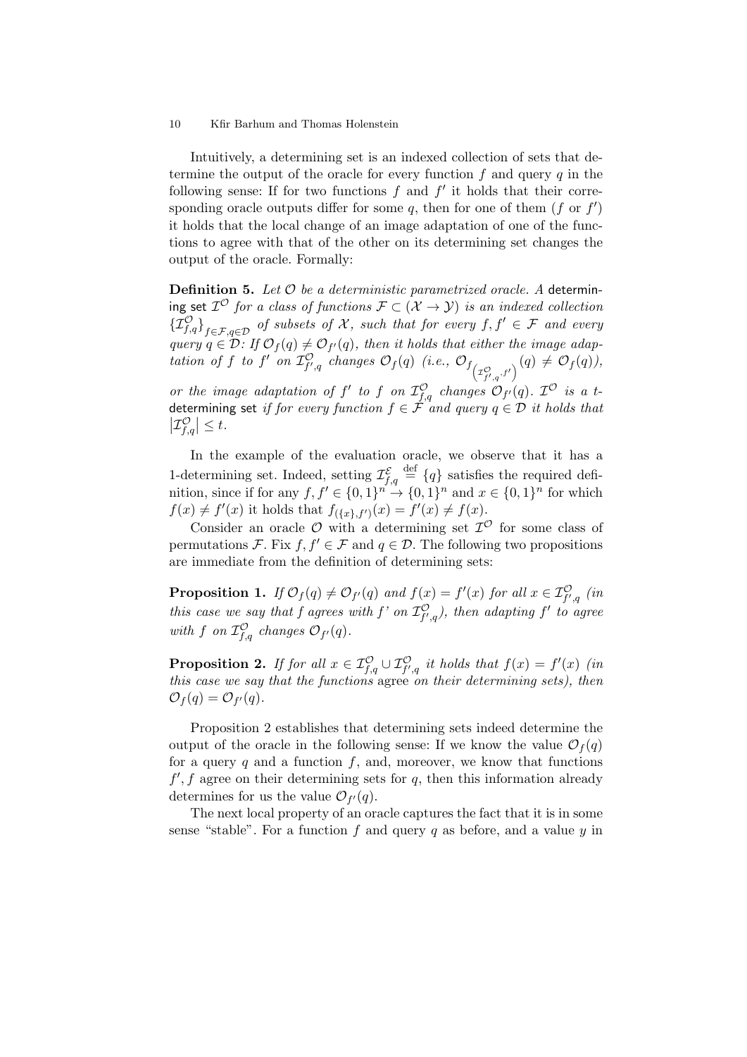Intuitively, a determining set is an indexed collection of sets that determine the output of the oracle for every function  $f$  and query  $q$  in the following sense: If for two functions  $f$  and  $f'$  it holds that their corresponding oracle outputs differ for some  $q$ , then for one of them  $(f \text{ or } f')$ it holds that the local change of an image adaptation of one of the functions to agree with that of the other on its determining set changes the output of the oracle. Formally:

**Definition 5.** Let  $O$  be a deterministic parametrized oracle. A determining set  $\mathcal{I}^{\mathcal{O}}$  for a class of functions  $\mathcal{F} \subset (\mathcal{X} \to \mathcal{Y})$  is an indexed collection  ${\{\mathcal{I}_{f,q}^{\mathcal{O}}\}}_{f\in\mathcal{F},q\in\mathcal{D}}$  of subsets of X, such that for every  $f,f'\in\mathcal{F}$  and every query  $q \in \mathcal{D}$ : If  $\mathcal{O}_f(q) \neq \mathcal{O}_{f'}(q)$ , then it holds that either the image adaptation of f to f' on  $\mathcal{I}^{\mathcal{O}}_{f',q}$  changes  $\mathcal{O}_f(q)$  (i.e.,  $\mathcal{O}_{f\left(\mathcal{I}^{\mathcal{O}}_{f',q},f'\right)}(q) \neq \mathcal{O}_f(q)$ ), or the image adaptation of f' to f on  $\mathcal{I}^{\mathcal{O}}_{f,q}$  changes  $\mathcal{O}_{f'}(q)$ .  $\mathcal{I}^{\mathcal{O}}$  is a tdetermining set *if for every function f*  $\in$   $\mathcal F$  *and query q*  $\in$   $\mathcal D$  *it holds that*  $\left|\mathcal{I}_{f,q}^{\mathcal{O}}\right| \leq t.$ 

In the example of the evaluation oracle, we observe that it has a 1-determining set. Indeed, setting  $\mathcal{I}_{f,q}^{\mathcal{E}} \stackrel{\text{def}}{=} \{q\}$  satisfies the required definition, since if for any  $f, f' \in \{0,1\}^{n'} \rightarrow \{0,1\}^n$  and  $x \in \{0,1\}^n$  for which  $f(x) \neq f'(x)$  it holds that  $f_{(\{x\},f')}(x) = f'(x) \neq f(x)$ .

Consider an oracle  $\mathcal O$  with a determining set  $\mathcal I^{\mathcal O}$  for some class of permutations F. Fix f,  $f' \in \mathcal{F}$  and  $q \in \mathcal{D}$ . The following two propositions are immediate from the definition of determining sets:

**Proposition 1.** If  $\mathcal{O}_f(q) \neq \mathcal{O}_{f'}(q)$  and  $f(x) = f'(x)$  for all  $x \in \mathcal{I}^{\mathcal{O}}_{f',q}$  (in this case we say that f agrees with f' on  $\mathcal{I}^{\mathcal{O}}_{f',q}$ ), then adapting f' to agree with f on  $\mathcal{I}_{f,q}^{\mathcal{O}}$  changes  $\mathcal{O}_{f'}(q)$ .

**Proposition 2.** If for all  $x \in \mathcal{I}_{f,q}^{\mathcal{O}} \cup \mathcal{I}_{f',q}^{\mathcal{O}}$  it holds that  $f(x) = f'(x)$  (in this case we say that the functions agree on their determining sets), then  $\mathcal{O}_f(q) = \mathcal{O}_{f'}(q).$ 

Proposition 2 establishes that determining sets indeed determine the output of the oracle in the following sense: If we know the value  $\mathcal{O}_f(q)$ for a query q and a function  $f$ , and, moreover, we know that functions  $f', f$  agree on their determining sets for  $q$ , then this information already determines for us the value  $\mathcal{O}_{f'}(q)$ .

The next local property of an oracle captures the fact that it is in some sense "stable". For a function f and query q as before, and a value  $y$  in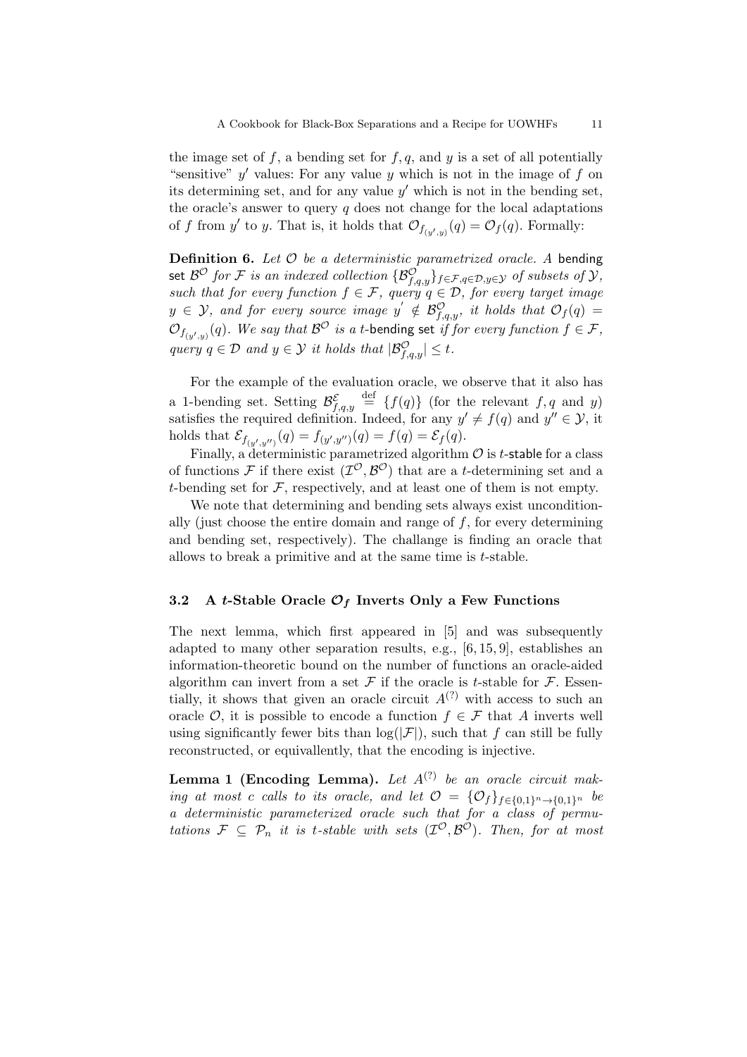the image set of f, a bending set for  $f, q$ , and y is a set of all potentially "sensitive"  $y'$  values: For any value  $y$  which is not in the image of  $f$  on its determining set, and for any value  $y'$  which is not in the bending set, the oracle's answer to query  $q$  does not change for the local adaptations of f from y' to y. That is, it holds that  $\mathcal{O}_{f_{(y',y)}}(q) = \mathcal{O}_f(q)$ . Formally:

**Definition 6.** Let  $\mathcal{O}$  be a deterministic parametrized oracle. A bending set  $\mathcal{B}^\mathcal{O}$  for  $\mathcal F$  is an indexed collection  $\{\mathcal{B}^\mathcal{O}_{f,q,y}\}_{f\in\mathcal{F},q\in\mathcal{D},y\in\mathcal{Y}}$  of subsets of  $\mathcal Y,$ such that for every function  $f \in \mathcal{F}$ , query  $q \in \mathcal{D}$ , for every target image  $y \in \mathcal{Y}$ , and for every source image  $y' \notin \mathcal{B}^{\mathcal{O}}_{f,q,y}$ , it holds that  $\mathcal{O}_f(q) =$  $\mathcal{O}_{f_{(y',y)}}(q).$  We say that  $\mathcal{B}^{\mathcal{O}}$  is a t-bending set if for every function  $f \in \mathcal{F},$ query  $q \in \mathcal{D}$  and  $y \in \mathcal{Y}$  it holds that  $|\mathcal{B}_{f,q,y}^{\mathcal{O}}| \leq t$ .

For the example of the evaluation oracle, we observe that it also has a 1-bending set. Setting  $\mathcal{B}_{f,q,y}^{\mathcal{E}} \stackrel{\text{def}}{=} \{f(q)\}$  (for the relevant  $f, q$  and  $y$ ) satisfies the required definition. Indeed, for any  $y' \neq f(q)$  and  $y'' \in \mathcal{Y}$ , it holds that  $\mathcal{E}_{f_{(y',y'')}}(q) = f_{(y',y'')}(q) = f(q) = \mathcal{E}_f(q)$ .

Finally, a deterministic parametrized algorithm  $\mathcal O$  is *t*-stable for a class of functions F if there exist  $(\mathcal{I}^{\mathcal{O}}, \mathcal{B}^{\mathcal{O}})$  that are a t-determining set and a t-bending set for  $\mathcal F$ , respectively, and at least one of them is not empty.

We note that determining and bending sets always exist unconditionally (just choose the entire domain and range of  $f$ , for every determining and bending set, respectively). The challange is finding an oracle that allows to break a primitive and at the same time is t-stable.

# 3.2 A t-Stable Oracle  $\mathcal{O}_f$  Inverts Only a Few Functions

The next lemma, which first appeared in [5] and was subsequently adapted to many other separation results, e.g., [6, 15, 9], establishes an information-theoretic bound on the number of functions an oracle-aided algorithm can invert from a set  $\mathcal F$  if the oracle is t-stable for  $\mathcal F$ . Essentially, it shows that given an oracle circuit  $A^{(?)}$  with access to such an oracle  $\mathcal{O}$ , it is possible to encode a function  $f \in \mathcal{F}$  that A inverts well using significantly fewer bits than  $log(|\mathcal{F}|)$ , such that f can still be fully reconstructed, or equivallently, that the encoding is injective.

**Lemma 1 (Encoding Lemma).** Let  $A^{(?)}$  be an oracle circuit making at most c calls to its oracle, and let  $\mathcal{O} = \{ \mathcal{O}_f \}_{f \in \{0,1\}^n \to \{0,1\}^n}$  be a deterministic parameterized oracle such that for a class of permutations  $\mathcal{F} \subseteq \mathcal{P}_n$  it is t-stable with sets  $(\mathcal{I}^{\mathcal{O}}, \mathcal{B}^{\mathcal{O}})$ . Then, for at most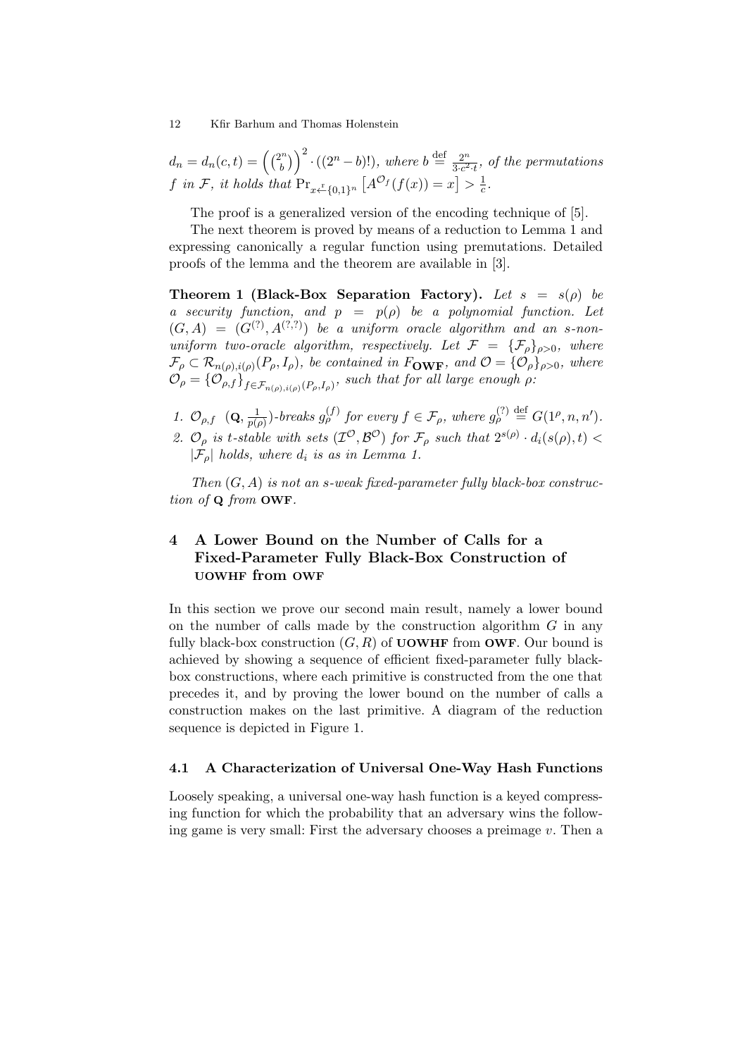$d_n = d_n(c, t) = \left(\frac{2^n}{b}\right)^n$  $\binom{2^n}{b}$   $\binom{2^n - b!}{b!}$ , where  $b \stackrel{\text{def}}{=} \frac{2^n}{3 \cdot c^2}$  $rac{2^n}{3 \cdot c^2 \cdot t}$ , of the permutations f in F, it holds that  $Pr_{x \leftarrow \{0,1\}^n} [A^{\mathcal{O}_f}(f(x)) = x] > \frac{1}{c}$  $\frac{1}{c}$ .

The proof is a generalized version of the encoding technique of [5].

The next theorem is proved by means of a reduction to Lemma 1 and expressing canonically a regular function using premutations. Detailed proofs of the lemma and the theorem are available in [3].

Theorem 1 (Black-Box Separation Factory). Let  $s = s(\rho)$  be a security function, and  $p = p(\rho)$  be a polynomial function. Let  $(G, A) = (G<sup>(?)</sup>, A<sup>(?,?)</sup>)$  be a uniform oracle algorithm and an s-nonuniform two-oracle algorithm, respectively. Let  $\mathcal{F} = {\{\mathcal{F}_\rho\}}_{\rho>0}$ , where  $\mathcal{F}_{\rho} \subset \mathcal{R}_{n(\rho),i(\rho)}(P_{\rho},I_{\rho}),$  be contained in  $F_{\text{OWF}}$ , and  $\mathcal{O} = {\mathcal{O}_{\rho}}_{\rho > 0}$ , where  $\mathcal{O}_{\rho} = {\{\mathcal{O}_{\rho,f}\}}_{f \in \mathcal{F}_{n(\rho),i(\rho)}(P_{\rho},I_{\rho})}, \text{ such that for all large enough } \rho.$ 

1.  $\mathcal{O}_{\rho,f}$   $(\mathbf{Q},\frac{1}{p\mu})$  $\frac{1}{p(\rho)}$ -breaks  $g_{\rho}^{(f)}$  for every  $f \in \mathcal{F}_{\rho}$ , where  $g_{\rho}^{(?)}\stackrel{\text{def}}{=} G(1^{\rho}, n, n').$ 2.  $\mathcal{O}_{\rho}$  is t-stable with sets  $(\mathcal{I}^{\mathcal{O}}, \mathcal{B}^{\mathcal{O}})$  for  $\mathcal{F}_{\rho}$  such that  $2^{s(\rho)} \cdot d_i(s(\rho), t)$  $|\mathcal{F}_\rho|$  holds, where  $d_i$  is as in Lemma 1.

Then  $(G, A)$  is not an s-weak fixed-parameter fully black-box construction of Q from OWF.

# 4 A Lower Bound on the Number of Calls for a Fixed-Parameter Fully Black-Box Construction of UOWHF from OWF

In this section we prove our second main result, namely a lower bound on the number of calls made by the construction algorithm  $G$  in any fully black-box construction  $(G, R)$  of UOWHF from OWF. Our bound is achieved by showing a sequence of efficient fixed-parameter fully blackbox constructions, where each primitive is constructed from the one that precedes it, and by proving the lower bound on the number of calls a construction makes on the last primitive. A diagram of the reduction sequence is depicted in Figure 1.

### 4.1 A Characterization of Universal One-Way Hash Functions

Loosely speaking, a universal one-way hash function is a keyed compressing function for which the probability that an adversary wins the following game is very small: First the adversary chooses a preimage  $v$ . Then a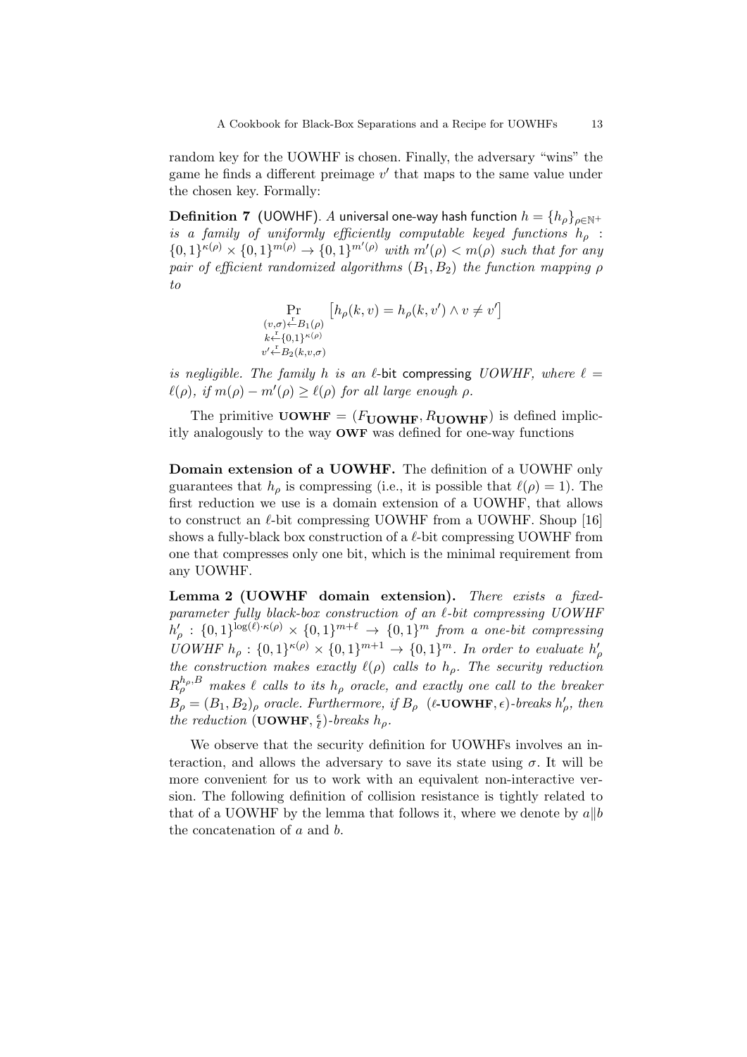random key for the UOWHF is chosen. Finally, the adversary "wins" the game he finds a different preimage  $v'$  that maps to the same value under the chosen key. Formally:

**Definition 7** (UOWHF). A universal one-way hash function  $h = \{h_{\rho}\}_{{\rho} \in {\mathbb N}^+}$ is a family of uniformly efficiently computable keyed functions  $h_{\rho}$ :  ${0,1}^{\kappa(\rho)} \times {0,1}^{m(\rho)} \to {0,1}^{m'(\rho)}$  with  $m'(\rho) < m(\rho)$  such that for any pair of efficient randomized algorithms  $(B_1, B_2)$  the function mapping  $\rho$ to

$$
\Pr_{\substack{(v,\sigma)\leftarrow B_1(\rho)\\ k\leftarrow \{0,1\}^{\kappa(\rho)}}}\left[h_\rho(k,v)=h_\rho(k,v')\wedge v\neq v'\right]
$$

is negligible. The family h is an  $\ell$ -bit compressing UOWHF, where  $\ell =$  $\ell(\rho)$ , if  $m(\rho) - m'(\rho) \geq \ell(\rho)$  for all large enough  $\rho$ .

The primitive UOWHF =  $(F_{\text{UOWHF}}, R_{\text{UOWHF}})$  is defined implicitly analogously to the way OWF was defined for one-way functions

Domain extension of a UOWHF. The definition of a UOWHF only guarantees that  $h_{\rho}$  is compressing (i.e., it is possible that  $\ell(\rho) = 1$ ). The first reduction we use is a domain extension of a UOWHF, that allows to construct an  $\ell$ -bit compressing UOWHF from a UOWHF. Shoup [16] shows a fully-black box construction of a  $\ell$ -bit compressing UOWHF from one that compresses only one bit, which is the minimal requirement from any UOWHF.

Lemma 2 (UOWHF domain extension). There exists a fixedparameter fully black-box construction of an  $\ell$ -bit compressing UOWHF  $h'_\rho$  :  $\{0,1\}^{\log(\ell)\cdot\kappa(\rho)} \times \{0,1\}^{m+\ell} \rightarrow \{0,1\}^m$  from a one-bit compressing UOWHF  $h_\rho : \{0,1\}^{\kappa(\rho)} \times \{0,1\}^{m+1} \rightarrow \{0,1\}^m$ . In order to evaluate  $h'_\rho$ the construction makes exactly  $\ell(\rho)$  calls to  $h_{\rho}$ . The security reduction  $R^{h_{\rho},B}_{\rho}$  makes  $\ell$  calls to its  $h_{\rho}$  oracle, and exactly one call to the breaker  $B_{\rho} = (B_1, B_2)_{\rho}$  oracle. Furthermore, if  $B_{\rho}$  ( $\ell$ -**UOWHF**,  $\epsilon$ )-breaks  $h'_{\rho}$ , then the reduction (UOWHF,  $\frac{\epsilon}{\ell}$  $\frac{\epsilon}{\ell}$ )-breaks  $h_{\rho}$ .

We observe that the security definition for UOWHFs involves an interaction, and allows the adversary to save its state using  $\sigma$ . It will be more convenient for us to work with an equivalent non-interactive version. The following definition of collision resistance is tightly related to that of a UOWHF by the lemma that follows it, where we denote by  $a||b$ the concatenation of a and b.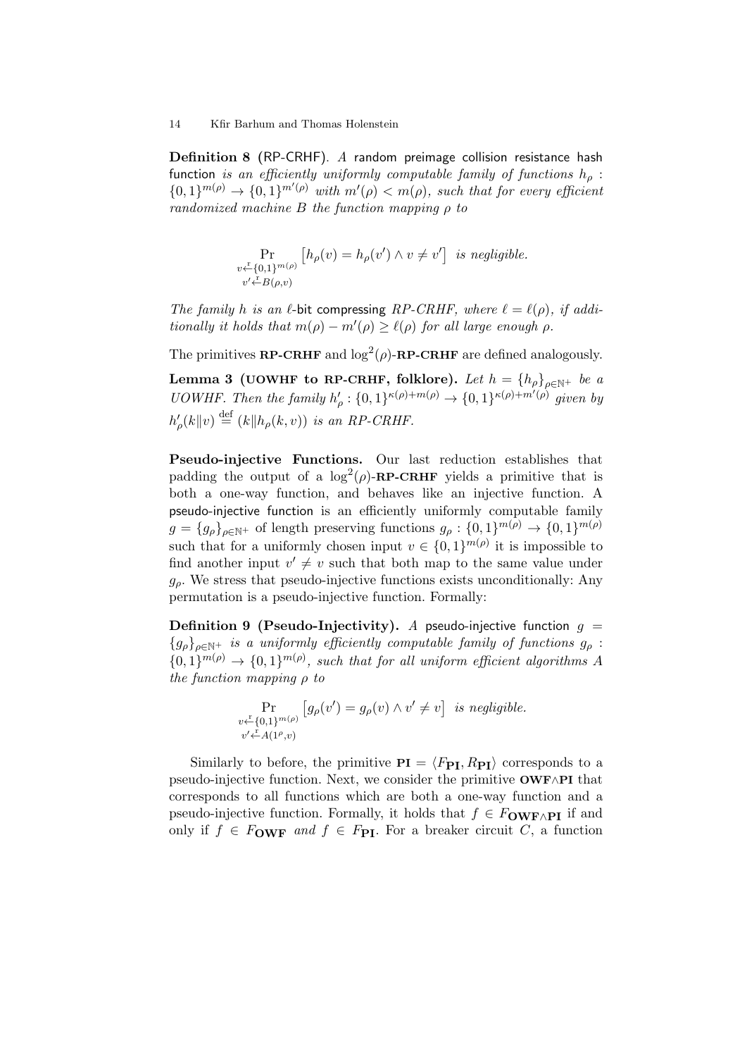Definition 8 (RP-CRHF). A random preimage collision resistance hash function is an efficiently uniformly computable family of functions  $h<sub>o</sub>$ :  ${0,1}^{m(\rho)} \rightarrow {0,1}^{m'(\rho)}$  with  $m'(\rho) < m(\rho)$ , such that for every efficient randomized machine B the function mapping  $\rho$  to

> Pr  $v \leftarrow^{r} \{0,1\}^{m(\rho)}$  $v' \stackrel{\text{r}}{\leftarrow} B(\rho, v)$  $[h_{\rho}(v) = h_{\rho}(v') \wedge v \neq v']$  is negligible.

The family h is an  $\ell$ -bit compressing RP-CRHF, where  $\ell = \ell(\rho)$ , if additionally it holds that  $m(\rho) - m'(\rho) \ge \ell(\rho)$  for all large enough  $\rho$ .

The primitives **RP-CRHF** and  $\log^2(\rho)$ -**RP-CRHF** are defined analogously.

Lemma 3 (UOWHF to RP-CRHF, folklore). Let  $h = \{h_\rho\}_{\rho \in \mathbb{N}^+}$  be a UOWHF. Then the family  $h'_\rho : \{0,1\}^{\kappa(\rho)+m(\rho)} \to \{0,1\}^{\kappa(\rho)+m'(\rho)}$  given by  $h'_{\rho}(k||v) \stackrel{\text{def}}{=} (k||h_{\rho}(k,v))$  is an RP-CRHF.

Pseudo-injective Functions. Our last reduction establishes that padding the output of a  $\log^2(\rho)$ -RP-CRHF yields a primitive that is both a one-way function, and behaves like an injective function. A pseudo-injective function is an efficiently uniformly computable family  $g = \{g_{\rho}\}_{{\rho}\in{\mathbb{N}}}$  of length preserving functions  $g_{\rho}: \{0,1\}^{m(\rho)} \to \{0,1\}^{m(\rho)}$ such that for a uniformly chosen input  $v \in \{0,1\}^{m(\rho)}$  it is impossible to find another input  $v' \neq v$  such that both map to the same value under  $q<sub>o</sub>$ . We stress that pseudo-injective functions exists unconditionally: Any permutation is a pseudo-injective function. Formally:

**Definition 9 (Pseudo-Injectivity).** A pseudo-injective function  $q =$  ${g_{\rho}}_{\rho \in \mathbb{N}^+}$  is a uniformly efficiently computable family of functions  $g_{\rho}$ :  ${0,1}^{m(\rho)} \rightarrow {0,1}^{m(\rho)}$ , such that for all uniform efficient algorithms A the function mapping  $\rho$  to

$$
\Pr_{\substack{v \leftarrow \{0,1\}^{m(\rho)}} \{g_{\rho}(v') = g_{\rho}(v) \land v' \neq v\} \text{ is negligible.}}
$$

Similarly to before, the primitive  $PI = \langle F_{PI}, R_{PI} \rangle$  corresponds to a pseudo-injective function. Next, we consider the primitive OWF∧PI that corresponds to all functions which are both a one-way function and a pseudo-injective function. Formally, it holds that  $f \in F_{\text{OWF} \wedge \text{PI}}$  if and only if  $f \in F_{\text{OWF}}$  and  $f \in F_{\text{PI}}$ . For a breaker circuit C, a function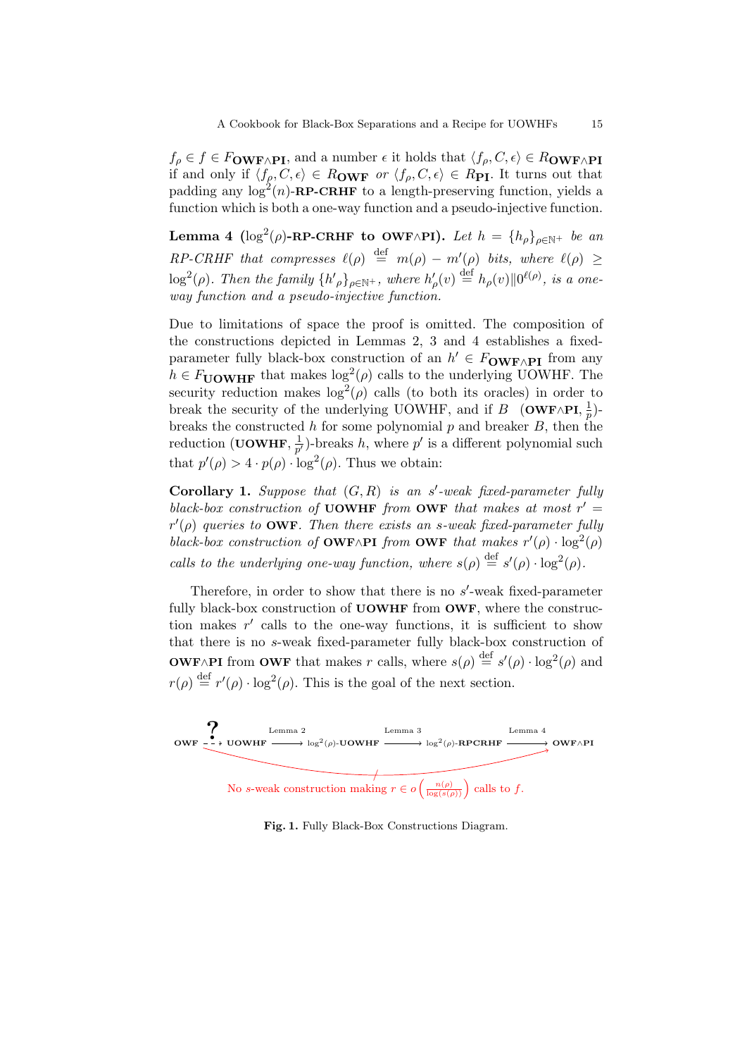$f_{\rho} \in f \in F_{\text{OWF}\wedge \text{PI}}$ , and a number  $\epsilon$  it holds that  $\langle f_{\rho}, C, \epsilon \rangle \in R_{\text{OWF}\wedge \text{PI}}$ if and only if  $\langle f_\rho, C, \epsilon \rangle \in R_{\rm OWF}$  or  $\langle f_\rho, C, \epsilon \rangle \in R_{\rm PI}$ . It turns out that padding any  $\log^2(n)$ -RP-CRHF to a length-preserving function, yields a function which is both a one-way function and a pseudo-injective function.

Lemma 4 (log<sup>2</sup>(ρ)-RP-CRHF to OWF∧PI). Let  $h = {h_{\rho}}_{\rho \in \mathbb{N}^+}$  be an RP-CRHF that compresses  $\ell(\rho) \stackrel{\text{def}}{=} m(\rho) - m'(\rho)$  bits, where  $\ell(\rho) \geq$  $\log^2(\rho)$ . Then the family  $\{h'_{\rho}\}_{\rho \in \mathbb{N}^+}$ , where  $h'_{\rho}(v) \stackrel{\text{def}}{=} h_{\rho}(v) \| 0^{\ell(\rho)}$ , is a oneway function and a pseudo-injective function.

Due to limitations of space the proof is omitted. The composition of the constructions depicted in Lemmas 2, 3 and 4 establishes a fixedparameter fully black-box construction of an  $h' \in F_{\text{OWF} \wedge \text{PI}}$  from any  $h \in F_{\text{UOWHF}}$  that makes  $\log^2(\rho)$  calls to the underlying UOWHF. The security reduction makes  $\log^2(\rho)$  calls (to both its oracles) in order to break the security of the underlying UOWHF, and if B (OWF∧PI,  $\frac{1}{n}$ )  $(\frac{1}{p})$ breaks the constructed h for some polynomial  $p$  and breaker  $B$ , then the reduction (UOWHF,  $\frac{1}{n'}$  $\frac{1}{p'}$ )-breaks h, where p' is a different polynomial such that  $p'(\rho) > 4 \cdot p(\rho) \cdot \log^2(\rho)$ . Thus we obtain:

Corollary 1. Suppose that  $(G, R)$  is an s'-weak fixed-parameter fully black-box construction of UOWHF from OWF that makes at most  $r' =$  $r'(\rho)$  queries to **OWF**. Then there exists an s-weak fixed-parameter fully black-box construction of **OWF**∧PI from **OWF** that makes  $r'(\rho) \cdot \log^2(\rho)$ calls to the underlying one-way function, where  $s(\rho) \stackrel{\text{def}}{=} s'(\rho) \cdot \log^2(\rho)$ .

Therefore, in order to show that there is no  $s'$ -weak fixed-parameter fully black-box construction of **UOWHF** from **OWF**, where the construction makes  $r'$  calls to the one-way functions, it is sufficient to show that there is no s-weak fixed-parameter fully black-box construction of **OWF**∧PI from **OWF** that makes r calls, where  $s(\rho) \stackrel{\text{def}}{=} s'(\rho) \cdot \log^2(\rho)$  and  $r(\rho) \stackrel{\text{def}}{=} r'(\rho) \cdot \log^2(\rho)$ . This is the goal of the next section.



Fig. 1. Fully Black-Box Constructions Diagram.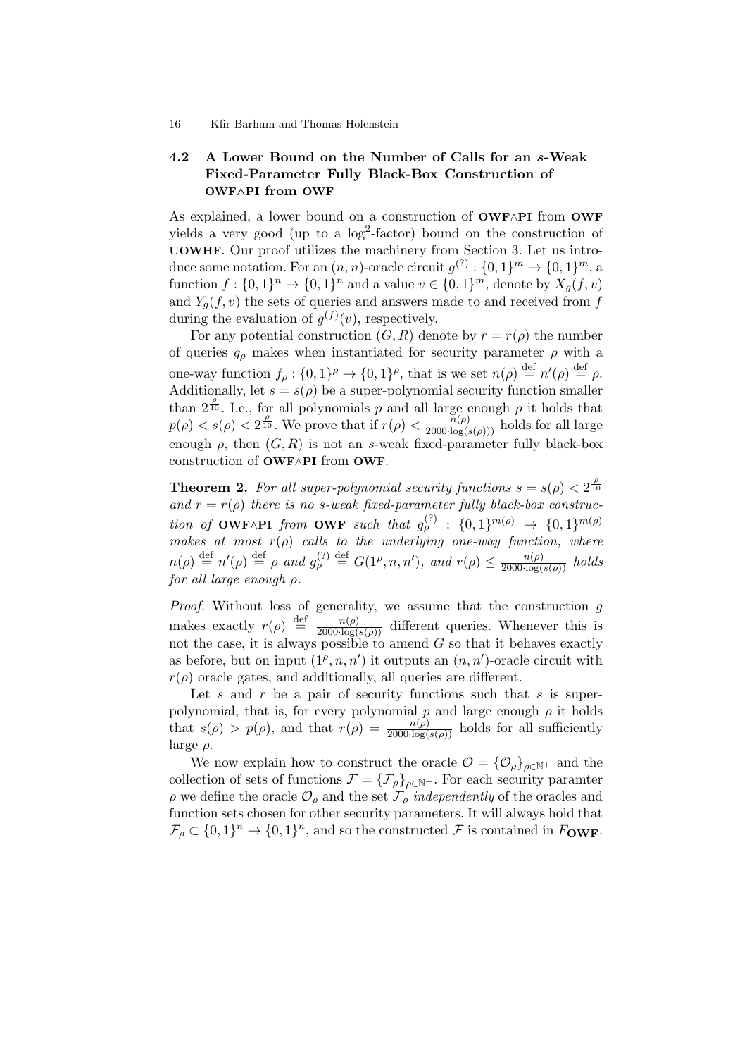# 4.2 A Lower Bound on the Number of Calls for an s-Weak Fixed-Parameter Fully Black-Box Construction of OWF∧PI from OWF

As explained, a lower bound on a construction of OWF∧PI from OWF yields a very good (up to a  $log<sup>2</sup>$ -factor) bound on the construction of UOWHF. Our proof utilizes the machinery from Section 3. Let us introduce some notation. For an  $(n, n)$ -oracle circuit  $g^{(?)} : \{0, 1\}^m \to \{0, 1\}^m$ , a function  $f: \{0,1\}^n \to \{0,1\}^n$  and a value  $v \in \{0,1\}^m$ , denote by  $X_g(f, v)$ and  $Y_a(f, v)$  the sets of queries and answers made to and received from f during the evaluation of  $g^{(f)}(v)$ , respectively.

For any potential construction  $(G, R)$  denote by  $r = r(\rho)$  the number of queries  $g<sub>o</sub>$  makes when instantiated for security parameter  $\rho$  with a one-way function  $f_{\rho}: \{0,1\}^{\rho} \to \{0,1\}^{\rho}$ , that is we set  $n(\rho) \stackrel{\text{def}}{=} n'(\rho) \stackrel{\text{def}}{=} \rho$ . Additionally, let  $s = s(\rho)$  be a super-polynomial security function smaller than  $2^{\frac{\rho}{10}}$ . I.e., for all polynomials p and all large enough  $\rho$  it holds that  $p(\rho) < s(\rho) < 2^{\frac{\rho}{10}}$ . We prove that if  $r(\rho) < \frac{n(\rho)}{2000 \log(s(\rho))}$  holds for all large enough  $\rho$ , then  $(G, R)$  is not an s-weak fixed-parameter fully black-box construction of OWF∧PI from OWF.

**Theorem 2.** For all super-polynomial security functions  $s = s(\rho) < 2^{\frac{\rho}{10}}$ and  $r = r(\rho)$  there is no s-weak fixed-parameter fully black-box construction of OWF∧PI from OWF such that  $g_{\rho}^{(?)}$  :  $\{0,1\}^{m(\rho)} \rightarrow \{0,1\}^{m(\rho)}$ makes at most  $r(\rho)$  calls to the underlying one-way function, where  $n(\rho) \stackrel{\text{def}}{=} n'(\rho) \stackrel{\text{def}}{=} \rho \text{ and } g_{\rho}^{(?)} \stackrel{\text{def}}{=} G(1^{\rho}, n, n'), \text{ and } r(\rho) \leq \frac{n(\rho)}{2000 \cdot \log(s(\rho))} \text{ holds}$ for all large enough  $\rho$ .

*Proof.* Without loss of generality, we assume that the construction  $g$ makes exactly  $r(\rho) \stackrel{\text{def}}{=} \frac{n(\rho)}{2000 \log(s(\rho))}$  different queries. Whenever this is not the case, it is always possible to amend  $G$  so that it behaves exactly as before, but on input  $(1^{\rho}, n, n')$  it outputs an  $(n, n')$ -oracle circuit with  $r(\rho)$  oracle gates, and additionally, all queries are different.

Let s and r be a pair of security functions such that s is superpolynomial, that is, for every polynomial  $p$  and large enough  $\rho$  it holds that  $s(\rho) > p(\rho)$ , and that  $r(\rho) = \frac{n(\rho)}{2000 \log(s(\rho))}$  holds for all sufficiently large  $\rho$ .

We now explain how to construct the oracle  $\mathcal{O} = {\{\mathcal{O}_{\rho}\}}_{\rho \in \mathbb{N}^+}$  and the collection of sets of functions  $\mathcal{F} = {\{\mathcal{F}_{\rho}\}}_{\rho \in \mathbb{N}^+}$ . For each security paramter  $\rho$  we define the oracle  $\mathcal{O}_{\rho}$  and the set  $\mathcal{F}_{\rho}$  independently of the oracles and function sets chosen for other security parameters. It will always hold that  $\mathcal{F}_{\rho} \subset \{0,1\}^n \to \{0,1\}^n$ , and so the constructed  $\mathcal F$  is contained in  $F_{\text{OWF}}$ .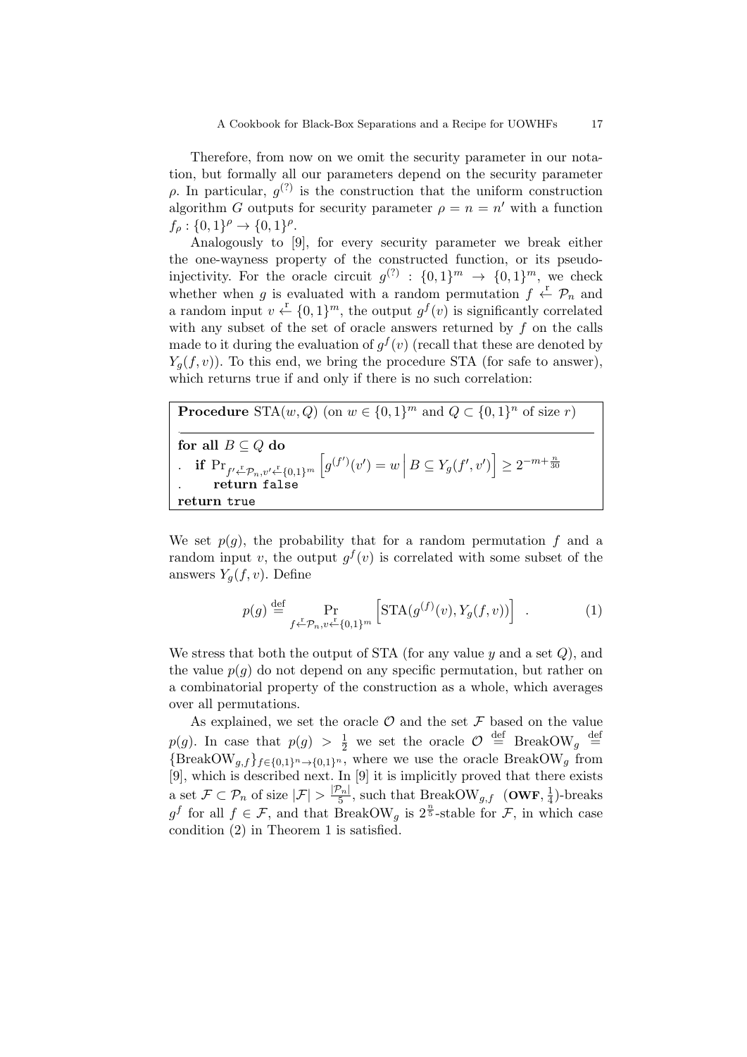Therefore, from now on we omit the security parameter in our notation, but formally all our parameters depend on the security parameter  $ρ$ . In particular,  $g<sup>(?)</sup>$  is the construction that the uniform construction algorithm G outputs for security parameter  $\rho = n = n'$  with a function  $f_{\rho} : \{0,1\}^{\rho} \to \{0,1\}^{\rho}.$ 

Analogously to [9], for every security parameter we break either the one-wayness property of the constructed function, or its pseudoinjectivity. For the oracle circuit  $g^{(2)}: \{0,1\}^m \rightarrow \{0,1\}^m$ , we check whether when g is evaluated with a random permutation  $f \leftarrow \mathcal{P}_n$  and a random input  $v \leftarrow \{0,1\}^m$ , the output  $g^f(v)$  is significantly correlated with any subset of the set of oracle answers returned by  $f$  on the calls made to it during the evaluation of  $g^f(v)$  (recall that these are denoted by  $Y_q(f, v)$ ). To this end, we bring the procedure STA (for safe to answer), which returns true if and only if there is no such correlation:

**Procedure** STA $(w, Q)$  (on  $w \in \{0, 1\}^m$  and  $Q \subset \{0, 1\}^n$  of size r) . for all  $B \subseteq Q$  do . if  $Pr_{f' \stackrel{\Gamma}{\leftarrow} P_n, v' \stackrel{\Gamma}{\leftarrow} \{0,1\}^m} \left[g^{(f')}(v') = w \, \middle| \, B \subseteq Y_g(f', v')\right] \geq 2^{-m+\frac{n}{30}}$ . return false return true

We set  $p(q)$ , the probability that for a random permutation f and a random input v, the output  $g^f(v)$  is correlated with some subset of the answers  $Y_q(f, v)$ . Define

$$
p(g) \stackrel{\text{def}}{=} \Pr_{f \leftarrow \mathcal{P}_n, v \leftarrow \{0, 1\}^m} \left[ \text{STA}(g^{(f)}(v), Y_g(f, v)) \right] . \tag{1}
$$

We stress that both the output of STA (for any value  $y$  and a set  $Q$ ), and the value  $p(q)$  do not depend on any specific permutation, but rather on a combinatorial property of the construction as a whole, which averages over all permutations.

As explained, we set the oracle  $\mathcal O$  and the set  $\mathcal F$  based on the value  $p(g)$ . In case that  $p(g) > \frac{1}{2}$  we set the oracle  $\mathcal{O} \stackrel{\text{def}}{=}$  BreakOW<sub>g</sub>  $\stackrel{\text{def}}{=}$  ${\rm BreakOW}_{g,f}$ <sub>f∈{0,1}</sub><sup>n</sup> →{0,1}<sup>n</sup>, where we use the oracle BreakOW<sub>g</sub> from [9], which is described next. In [9] it is implicitly proved that there exists a set  $\mathcal{F} \subset \mathcal{P}_n$  of size  $|\mathcal{F}| > \frac{|\mathcal{P}_n|}{5}$  $\frac{\mathcal{P}_n|}{5}$ , such that BreakOW<sub>g,f</sub> (OWF,  $\frac{1}{4}$ )  $\frac{1}{4}$ )-breaks  $g^f$  for all  $f \in \mathcal{F}$ , and that BreakOW<sub>g</sub> is  $2^{\frac{n}{5}}$ -stable for  $\mathcal{F}$ , in which case condition (2) in Theorem 1 is satisfied.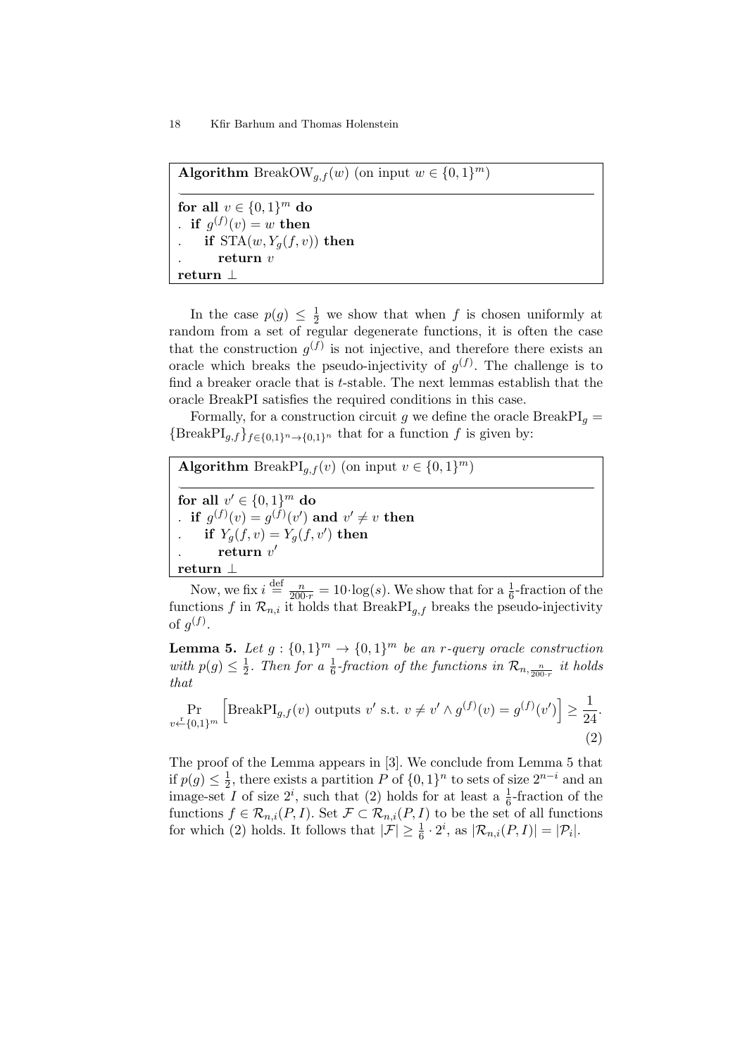Algorithm BreakOW<sub>g,f</sub>(w) (on input  $w \in \{0, 1\}^m$ ) . for all  $v \in \{0,1\}^m$  do . if  $g^{(f)}(v) = w$  then if  $STA(w, Y_q(f, v))$  then return  $v$ return ⊥

In the case  $p(g) \leq \frac{1}{2}$  we show that when f is chosen uniformly at random from a set of regular degenerate functions, it is often the case that the construction  $g^{(f)}$  is not injective, and therefore there exists an oracle which breaks the pseudo-injectivity of  $g^{(f)}$ . The challenge is to find a breaker oracle that is  $t$ -stable. The next lemmas establish that the oracle BreakPI satisfies the required conditions in this case.

Formally, for a construction circuit g we define the oracle  $BreakPI<sub>g</sub>$  ${\text{BreakPI}_{q,f}}_{f\in\{0,1\}^n\to\{0,1\}^n}$  that for a function f is given by:

Algorithm BreakPI<sub>g,f</sub>(v) (on input  $v \in \{0,1\}^m$ ) . for all  $v' \in \{0,1\}^m$  do . if  $g^{(f)}(v) = g^{(f)}(v')$  and  $v' \neq v$  then if  $Y_g(f, v) = Y_g(f, v')$  then . return  $v'$ return ⊥

Now, we fix  $i \stackrel{\text{def}}{=} \frac{n}{200 \cdot r} = 10 \cdot \log(s)$ . We show that for a  $\frac{1}{6}$ -fraction of the functions f in  $\mathcal{R}_{n,i}$  it holds that BreakPI<sub>g,f</sub> breaks the pseudo-injectivity of  $g^{(f)}$ .

**Lemma 5.** Let  $g: \{0,1\}^m \rightarrow \{0,1\}^m$  be an r-query oracle construction with  $p(g) \leq \frac{1}{2}$  $\frac{1}{2}$ . Then for a  $\frac{1}{6}$ -fraction of the functions in  $\mathcal{R}_{n,\frac{n}{200 \cdot r}}$  it holds that

$$
\Pr_{v \leftarrow \{0,1\}^m} \left[ \text{BreakPI}_{g,f}(v) \text{ outputs } v' \text{ s.t. } v \neq v' \land g^{(f)}(v) = g^{(f)}(v') \right] \ge \frac{1}{24}.
$$
\n(2)

The proof of the Lemma appears in [3]. We conclude from Lemma 5 that if  $p(g) \leq \frac{1}{2}$  $\frac{1}{2}$ , there exists a partition P of  $\{0,1\}^n$  to sets of size  $2^{n-i}$  and an image-set I of size  $2^i$ , such that (2) holds for at least a  $\frac{1}{6}$ -fraction of the functions  $f \in \mathcal{R}_{n,i}(P,I)$ . Set  $\mathcal{F} \subset \mathcal{R}_{n,i}(P,I)$  to be the set of all functions for which (2) holds. It follows that  $|\mathcal{F}| \geq \frac{1}{6} \cdot 2^i$ , as  $|\mathcal{R}_{n,i}(P,I)| = |\mathcal{P}_i|$ .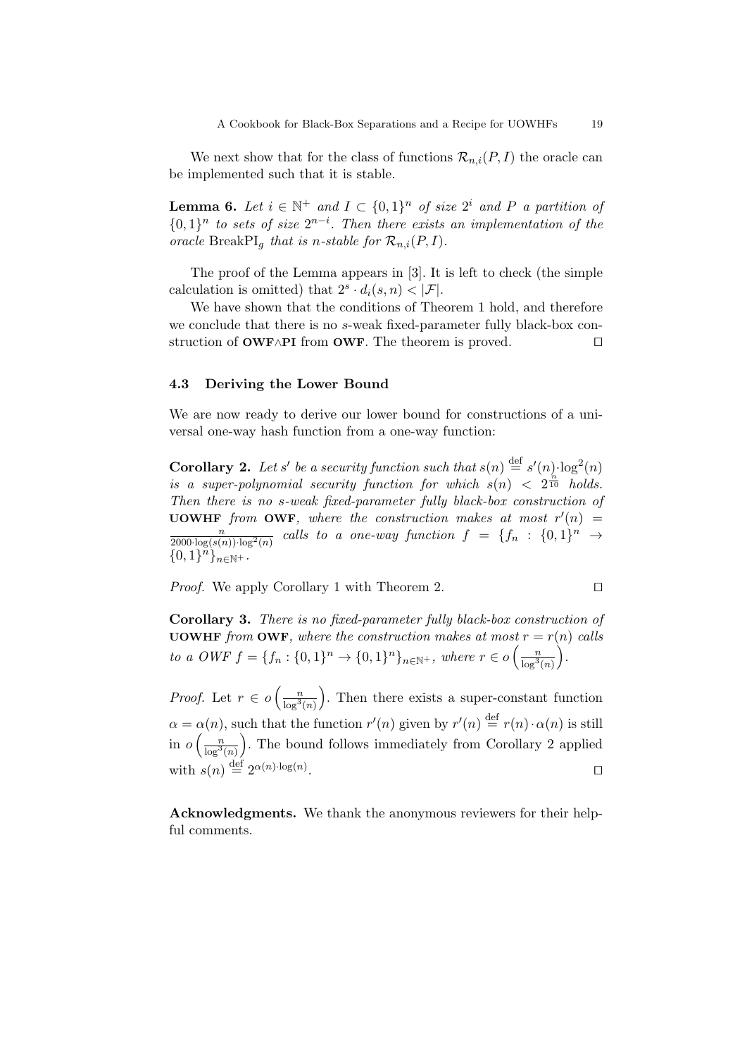We next show that for the class of functions  $\mathcal{R}_{n,i}(P, I)$  the oracle can be implemented such that it is stable.

**Lemma 6.** Let  $i \in \mathbb{N}^+$  and  $I \subset \{0,1\}^n$  of size  $2^i$  and P a partition of  $\{0,1\}^n$  to sets of size  $2^{n-i}$ . Then there exists an implementation of the oracle BreakPI<sub>q</sub> that is n-stable for  $\mathcal{R}_{n,i}(P,I)$ .

The proof of the Lemma appears in [3]. It is left to check (the simple calculation is omitted) that  $2^s \cdot d_i(s,n) < |\mathcal{F}|$ .

We have shown that the conditions of Theorem 1 hold, and therefore we conclude that there is no s-weak fixed-parameter fully black-box construction of  $\text{OWF} \wedge \text{PI}$  from  $\text{OWF}$ . The theorem is proved.  $\square$ 

# 4.3 Deriving the Lower Bound

We are now ready to derive our lower bound for constructions of a universal one-way hash function from a one-way function:

**Corollary 2.** Let s' be a security function such that  $s(n) \stackrel{\text{def}}{=} s'(n) \cdot \log^2(n)$ is a super-polynomial security function for which  $s(n) < 2^{\frac{n}{10}}$  holds. Then there is no s-weak fixed-parameter fully black-box construction of **UOWHF** from **OWF**, where the construction makes at most  $r'(n)$  =  $\frac{n}{2000 \cdot \log(s(n)) \cdot \log^2(n)}$  calls to a one-way function  $f = \{f_n : \{0,1\}^n \to \emptyset\}$  ${0,1}^{\tilde{n}}_{n\in\mathbb{N}^+}.$ 

*Proof.* We apply Corollary 1 with Theorem 2.

$$
\Box
$$

Corollary 3. There is no fixed-parameter fully black-box construction of **UOWHF** from **OWF**, where the construction makes at most  $r = r(n)$  calls to a OWF  $f = \{f_n : \{0,1\}^n \to \{0,1\}^n\}_{n \in \mathbb{N}^+}$ , where  $r \in o\left(\frac{n}{\log^3(n)}\right)$ .

*Proof.* Let  $r \in o\left(\frac{n}{\log^3(n)}\right)$  . Then there exists a super-constant function  $\alpha = \alpha(n)$ , such that the function  $r'(n)$  given by  $r'(n) \stackrel{\text{def}}{=} r(n) \cdot \alpha(n)$  is still in  $o\left(\frac{n}{\log^3(n)}\right)$  . The bound follows immediately from Corollary 2 applied with  $s(n) \stackrel{\text{def}}{=} 2^{\alpha(n) \cdot \log(n)}$ . The contract of the contract of  $\Box$ 

Acknowledgments. We thank the anonymous reviewers for their helpful comments.